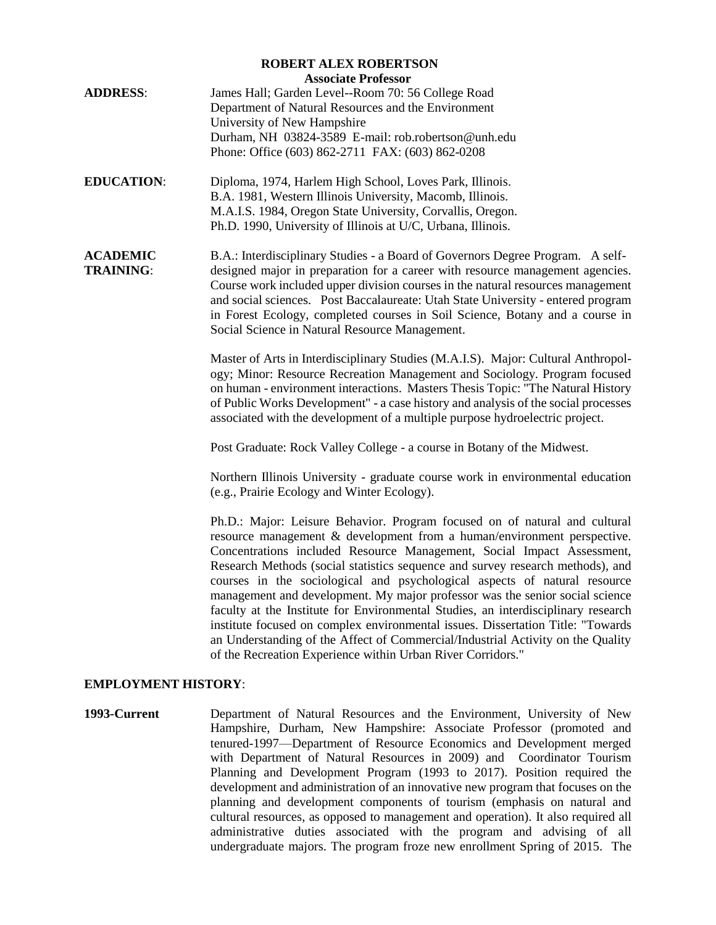| <b>ROBERT ALEX ROBERTSON</b>                                                                                                                                                                                                                                                                                                                                                                                                                                             |  |  |
|--------------------------------------------------------------------------------------------------------------------------------------------------------------------------------------------------------------------------------------------------------------------------------------------------------------------------------------------------------------------------------------------------------------------------------------------------------------------------|--|--|
| <b>Associate Professor</b>                                                                                                                                                                                                                                                                                                                                                                                                                                               |  |  |
| James Hall; Garden Level--Room 70: 56 College Road                                                                                                                                                                                                                                                                                                                                                                                                                       |  |  |
| Department of Natural Resources and the Environment                                                                                                                                                                                                                                                                                                                                                                                                                      |  |  |
| University of New Hampshire                                                                                                                                                                                                                                                                                                                                                                                                                                              |  |  |
| Durham, NH 03824-3589 E-mail: rob.robertson@unh.edu                                                                                                                                                                                                                                                                                                                                                                                                                      |  |  |
| Phone: Office (603) 862-2711 FAX: (603) 862-0208                                                                                                                                                                                                                                                                                                                                                                                                                         |  |  |
| Diploma, 1974, Harlem High School, Loves Park, Illinois.                                                                                                                                                                                                                                                                                                                                                                                                                 |  |  |
| B.A. 1981, Western Illinois University, Macomb, Illinois.                                                                                                                                                                                                                                                                                                                                                                                                                |  |  |
| M.A.I.S. 1984, Oregon State University, Corvallis, Oregon.                                                                                                                                                                                                                                                                                                                                                                                                               |  |  |
| Ph.D. 1990, University of Illinois at U/C, Urbana, Illinois.                                                                                                                                                                                                                                                                                                                                                                                                             |  |  |
| B.A.: Interdisciplinary Studies - a Board of Governors Degree Program. A self-<br>designed major in preparation for a career with resource management agencies.<br>Course work included upper division courses in the natural resources management<br>and social sciences. Post Baccalaureate: Utah State University - entered program<br>in Forest Ecology, completed courses in Soil Science, Botany and a course in<br>Social Science in Natural Resource Management. |  |  |
| Master of Arts in Interdisciplinary Studies (M.A.I.S). Major: Cultural Anthropol-<br>ogy; Minor: Resource Recreation Management and Sociology. Program focused<br>on human - environment interactions. Masters Thesis Topic: "The Natural History<br>of Public Works Development" - a case history and analysis of the social processes<br>associated with the development of a multiple purpose hydroelectric project.                                                  |  |  |
| Post Graduate: Rock Valley College - a course in Botany of the Midwest.                                                                                                                                                                                                                                                                                                                                                                                                  |  |  |
|                                                                                                                                                                                                                                                                                                                                                                                                                                                                          |  |  |

Northern Illinois University - graduate course work in environmental education (e.g., Prairie Ecology and Winter Ecology).

Ph.D.: Major: Leisure Behavior. Program focused on of natural and cultural resource management & development from a human/environment perspective. Concentrations included Resource Management, Social Impact Assessment, Research Methods (social statistics sequence and survey research methods), and courses in the sociological and psychological aspects of natural resource management and development. My major professor was the senior social science faculty at the Institute for Environmental Studies, an interdisciplinary research institute focused on complex environmental issues. Dissertation Title: "Towards an Understanding of the Affect of Commercial/Industrial Activity on the Quality of the Recreation Experience within Urban River Corridors."

## **EMPLOYMENT HISTORY**:

**1993-Current** Department of Natural Resources and the Environment, University of New Hampshire, Durham, New Hampshire: Associate Professor (promoted and tenured-1997—Department of Resource Economics and Development merged with Department of Natural Resources in 2009) and Coordinator Tourism Planning and Development Program (1993 to 2017). Position required the development and administration of an innovative new program that focuses on the planning and development components of tourism (emphasis on natural and cultural resources, as opposed to management and operation). It also required all administrative duties associated with the program and advising of all undergraduate majors. The program froze new enrollment Spring of 2015. The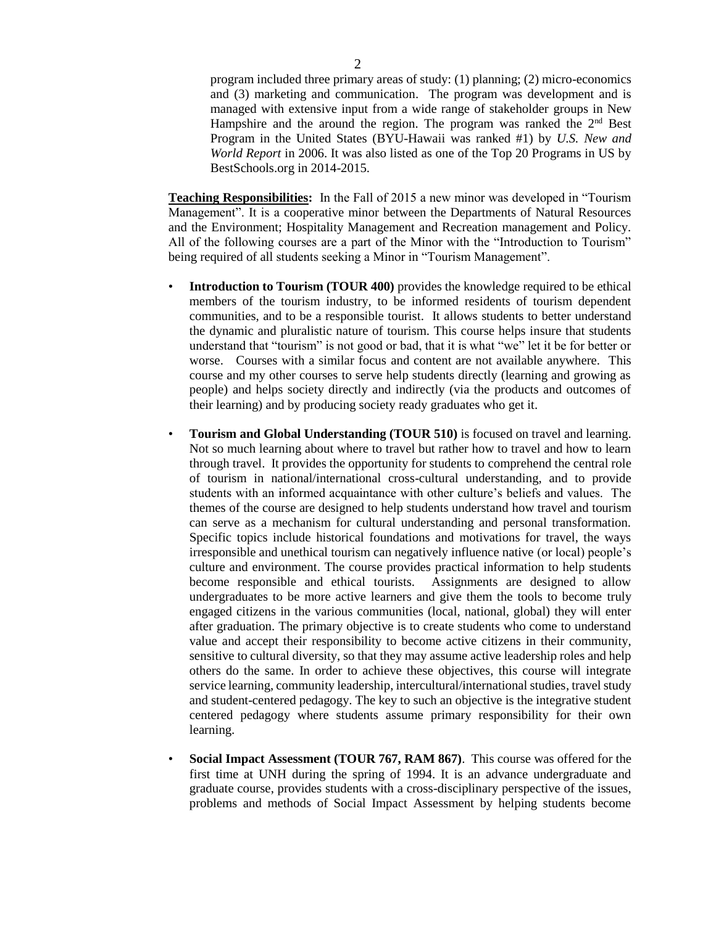program included three primary areas of study: (1) planning; (2) micro-economics and (3) marketing and communication. The program was development and is managed with extensive input from a wide range of stakeholder groups in New Hampshire and the around the region. The program was ranked the  $2<sup>nd</sup>$  Best Program in the United States (BYU-Hawaii was ranked #1) by *U.S. New and World Report* in 2006. It was also listed as one of the Top 20 Programs in US by BestSchools.org in 2014-2015.

**Teaching Responsibilities:** In the Fall of 2015 a new minor was developed in "Tourism Management". It is a cooperative minor between the Departments of Natural Resources and the Environment; Hospitality Management and Recreation management and Policy. All of the following courses are a part of the Minor with the "Introduction to Tourism" being required of all students seeking a Minor in "Tourism Management".

- **Introduction to Tourism (TOUR 400)** provides the knowledge required to be ethical members of the tourism industry, to be informed residents of tourism dependent communities, and to be a responsible tourist. It allows students to better understand the dynamic and pluralistic nature of tourism. This course helps insure that students understand that "tourism" is not good or bad, that it is what "we" let it be for better or worse. Courses with a similar focus and content are not available anywhere. This course and my other courses to serve help students directly (learning and growing as people) and helps society directly and indirectly (via the products and outcomes of their learning) and by producing society ready graduates who get it.
- **Tourism and Global Understanding (TOUR 510)** is focused on travel and learning. Not so much learning about where to travel but rather how to travel and how to learn through travel. It provides the opportunity for students to comprehend the central role of tourism in national/international cross-cultural understanding, and to provide students with an informed acquaintance with other culture's beliefs and values. The themes of the course are designed to help students understand how travel and tourism can serve as a mechanism for cultural understanding and personal transformation. Specific topics include historical foundations and motivations for travel, the ways irresponsible and unethical tourism can negatively influence native (or local) people's culture and environment. The course provides practical information to help students become responsible and ethical tourists. Assignments are designed to allow undergraduates to be more active learners and give them the tools to become truly engaged citizens in the various communities (local, national, global) they will enter after graduation. The primary objective is to create students who come to understand value and accept their responsibility to become active citizens in their community, sensitive to cultural diversity, so that they may assume active leadership roles and help others do the same. In order to achieve these objectives, this course will integrate service learning, community leadership, intercultural/international studies, travel study and student-centered pedagogy. The key to such an objective is the integrative student centered pedagogy where students assume primary responsibility for their own learning.
- **Social Impact Assessment (TOUR 767, RAM 867)**. This course was offered for the first time at UNH during the spring of 1994. It is an advance undergraduate and graduate course, provides students with a cross-disciplinary perspective of the issues, problems and methods of Social Impact Assessment by helping students become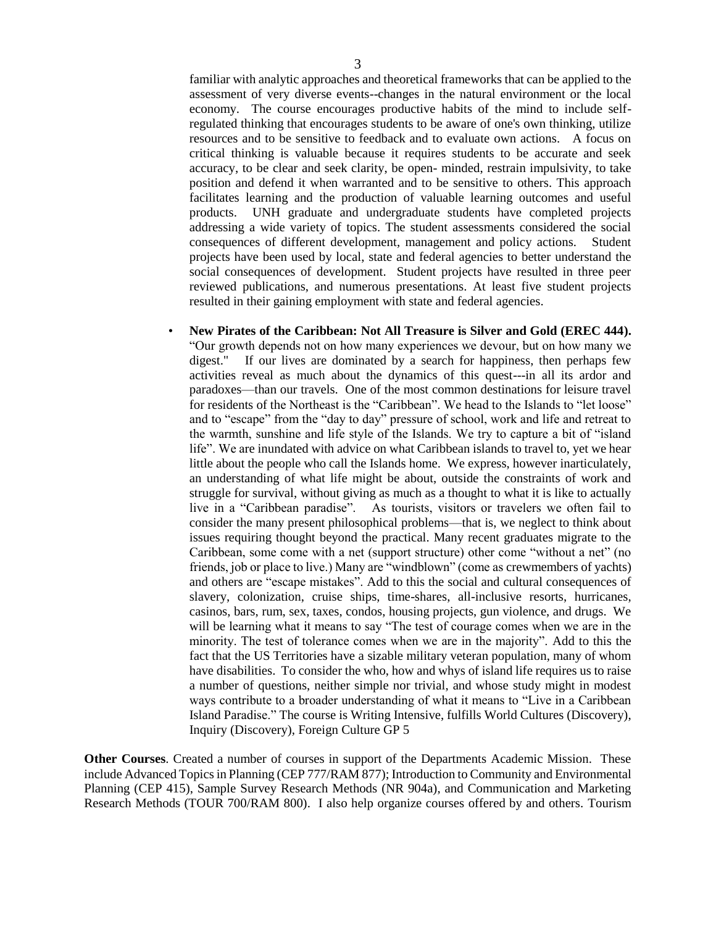familiar with analytic approaches and theoretical frameworks that can be applied to the assessment of very diverse events--changes in the natural environment or the local economy. The course encourages productive habits of the mind to include selfregulated thinking that encourages students to be aware of one's own thinking, utilize resources and to be sensitive to feedback and to evaluate own actions. A focus on critical thinking is valuable because it requires students to be accurate and seek accuracy, to be clear and seek clarity, be open- minded, restrain impulsivity, to take position and defend it when warranted and to be sensitive to others. This approach facilitates learning and the production of valuable learning outcomes and useful products. UNH graduate and undergraduate students have completed projects addressing a wide variety of topics. The student assessments considered the social consequences of different development, management and policy actions. Student projects have been used by local, state and federal agencies to better understand the social consequences of development. Student projects have resulted in three peer reviewed publications, and numerous presentations. At least five student projects resulted in their gaining employment with state and federal agencies.

• **New Pirates of the Caribbean: Not All Treasure is Silver and Gold (EREC 444).** "Our growth depends not on how many experiences we devour, but on how many we digest." If our lives are dominated by a search for happiness, then perhaps few activities reveal as much about the dynamics of this quest---in all its ardor and paradoxes—than our travels. One of the most common destinations for leisure travel for residents of the Northeast is the "Caribbean". We head to the Islands to "let loose" and to "escape" from the "day to day" pressure of school, work and life and retreat to the warmth, sunshine and life style of the Islands. We try to capture a bit of "island life". We are inundated with advice on what Caribbean islands to travel to, yet we hear little about the people who call the Islands home. We express, however inarticulately, an understanding of what life might be about, outside the constraints of work and struggle for survival, without giving as much as a thought to what it is like to actually live in a "Caribbean paradise". As tourists, visitors or travelers we often fail to consider the many present philosophical problems—that is, we neglect to think about issues requiring thought beyond the practical. Many recent graduates migrate to the Caribbean, some come with a net (support structure) other come "without a net" (no friends, job or place to live.) Many are "windblown" (come as crewmembers of yachts) and others are "escape mistakes". Add to this the social and cultural consequences of slavery, colonization, cruise ships, time-shares, all-inclusive resorts, hurricanes, casinos, bars, rum, sex, taxes, condos, housing projects, gun violence, and drugs. We will be learning what it means to say "The test of courage comes when we are in the minority. The test of tolerance comes when we are in the majority". Add to this the fact that the US Territories have a sizable military veteran population, many of whom have disabilities. To consider the who, how and whys of island life requires us to raise a number of questions, neither simple nor trivial, and whose study might in modest ways contribute to a broader understanding of what it means to "Live in a Caribbean Island Paradise." The course is Writing Intensive, fulfills World Cultures (Discovery), Inquiry (Discovery), Foreign Culture GP 5

**Other Courses**. Created a number of courses in support of the Departments Academic Mission. These include Advanced Topics in Planning (CEP 777/RAM 877); Introduction to Community and Environmental Planning (CEP 415), Sample Survey Research Methods (NR 904a), and Communication and Marketing Research Methods (TOUR 700/RAM 800). I also help organize courses offered by and others. Tourism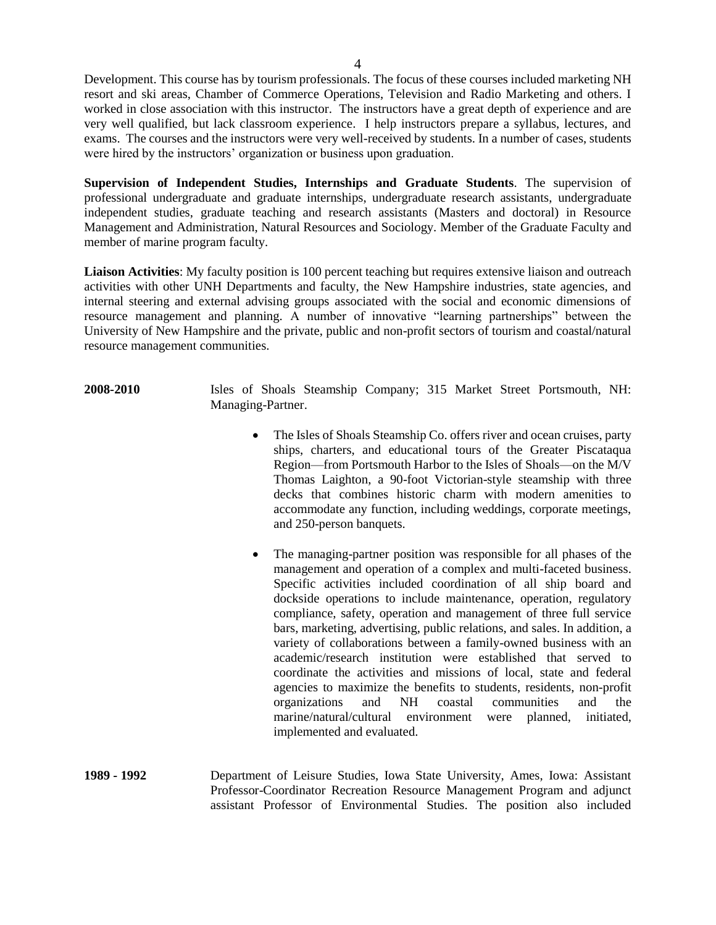Development. This course has by tourism professionals. The focus of these courses included marketing NH resort and ski areas, Chamber of Commerce Operations, Television and Radio Marketing and others. I worked in close association with this instructor. The instructors have a great depth of experience and are very well qualified, but lack classroom experience. I help instructors prepare a syllabus, lectures, and exams. The courses and the instructors were very well-received by students. In a number of cases, students were hired by the instructors' organization or business upon graduation.

**Supervision of Independent Studies, Internships and Graduate Students**. The supervision of professional undergraduate and graduate internships, undergraduate research assistants, undergraduate independent studies, graduate teaching and research assistants (Masters and doctoral) in Resource Management and Administration, Natural Resources and Sociology. Member of the Graduate Faculty and member of marine program faculty.

**Liaison Activities**: My faculty position is 100 percent teaching but requires extensive liaison and outreach activities with other UNH Departments and faculty, the New Hampshire industries, state agencies, and internal steering and external advising groups associated with the social and economic dimensions of resource management and planning. A number of innovative "learning partnerships" between the University of New Hampshire and the private, public and non-profit sectors of tourism and coastal/natural resource management communities.

- **2008-2010** Isles of Shoals Steamship Company; 315 Market Street Portsmouth, NH: Managing-Partner.
	- The Isles of Shoals Steamship Co. offers river and ocean cruises, party ships, charters, and educational tours of the Greater Piscataqua Region—from Portsmouth Harbor to the Isles of Shoals—on the M/V Thomas Laighton, a 90-foot Victorian-style steamship with three decks that combines historic charm with modern amenities to accommodate any function, including weddings, corporate meetings, and 250-person banquets.
	- The managing-partner position was responsible for all phases of the management and operation of a complex and multi-faceted business. Specific activities included coordination of all ship board and dockside operations to include maintenance, operation, regulatory compliance, safety, operation and management of three full service bars, marketing, advertising, public relations, and sales. In addition, a variety of collaborations between a family-owned business with an academic/research institution were established that served to coordinate the activities and missions of local, state and federal agencies to maximize the benefits to students, residents, non-profit organizations and NH coastal communities and the marine/natural/cultural environment were planned, initiated, implemented and evaluated.
- **1989 - 1992** Department of Leisure Studies, Iowa State University, Ames, Iowa: Assistant Professor-Coordinator Recreation Resource Management Program and adjunct assistant Professor of Environmental Studies. The position also included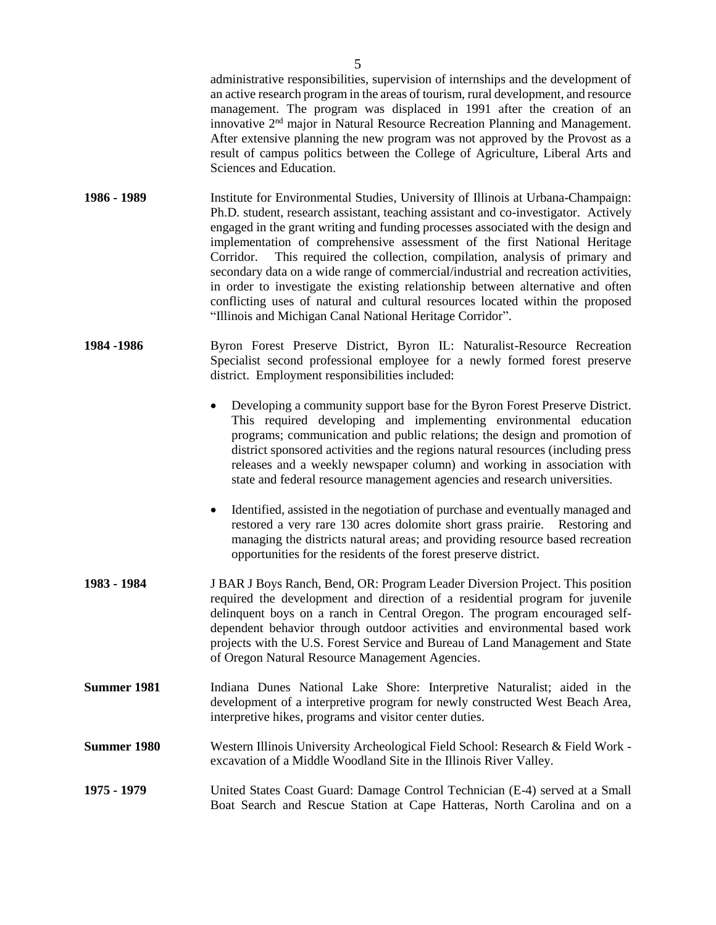|                    | an active research program in the areas of tourism, rural development, and resource<br>management. The program was displaced in 1991 after the creation of an<br>innovative 2 <sup>nd</sup> major in Natural Resource Recreation Planning and Management.<br>After extensive planning the new program was not approved by the Provost as a<br>result of campus politics between the College of Agriculture, Liberal Arts and<br>Sciences and Education.                                                                                                                                                                                                                                                                                              |
|--------------------|------------------------------------------------------------------------------------------------------------------------------------------------------------------------------------------------------------------------------------------------------------------------------------------------------------------------------------------------------------------------------------------------------------------------------------------------------------------------------------------------------------------------------------------------------------------------------------------------------------------------------------------------------------------------------------------------------------------------------------------------------|
| 1986 - 1989        | Institute for Environmental Studies, University of Illinois at Urbana-Champaign:<br>Ph.D. student, research assistant, teaching assistant and co-investigator. Actively<br>engaged in the grant writing and funding processes associated with the design and<br>implementation of comprehensive assessment of the first National Heritage<br>This required the collection, compilation, analysis of primary and<br>Corridor.<br>secondary data on a wide range of commercial/industrial and recreation activities,<br>in order to investigate the existing relationship between alternative and often<br>conflicting uses of natural and cultural resources located within the proposed<br>"Illinois and Michigan Canal National Heritage Corridor". |
| 1984 - 1986        | Byron Forest Preserve District, Byron IL: Naturalist-Resource Recreation<br>Specialist second professional employee for a newly formed forest preserve<br>district. Employment responsibilities included:                                                                                                                                                                                                                                                                                                                                                                                                                                                                                                                                            |
|                    | Developing a community support base for the Byron Forest Preserve District.<br>This required developing and implementing environmental education<br>programs; communication and public relations; the design and promotion of<br>district sponsored activities and the regions natural resources (including press<br>releases and a weekly newspaper column) and working in association with<br>state and federal resource management agencies and research universities.                                                                                                                                                                                                                                                                            |
|                    | Identified, assisted in the negotiation of purchase and eventually managed and<br>$\bullet$<br>restored a very rare 130 acres dolomite short grass prairie. Restoring and<br>managing the districts natural areas; and providing resource based recreation<br>opportunities for the residents of the forest preserve district.                                                                                                                                                                                                                                                                                                                                                                                                                       |
| 1983 - 1984        | J BAR J Boys Ranch, Bend, OR: Program Leader Diversion Project. This position<br>required the development and direction of a residential program for juvenile<br>delinquent boys on a ranch in Central Oregon. The program encouraged self-<br>dependent behavior through outdoor activities and environmental based work<br>projects with the U.S. Forest Service and Bureau of Land Management and State<br>of Oregon Natural Resource Management Agencies.                                                                                                                                                                                                                                                                                        |
| <b>Summer 1981</b> | Indiana Dunes National Lake Shore: Interpretive Naturalist; aided in the<br>development of a interpretive program for newly constructed West Beach Area,<br>interpretive hikes, programs and visitor center duties.                                                                                                                                                                                                                                                                                                                                                                                                                                                                                                                                  |
| <b>Summer 1980</b> | Western Illinois University Archeological Field School: Research & Field Work -<br>excavation of a Middle Woodland Site in the Illinois River Valley.                                                                                                                                                                                                                                                                                                                                                                                                                                                                                                                                                                                                |
| 1975 - 1979        | United States Coast Guard: Damage Control Technician (E-4) served at a Small<br>Boat Search and Rescue Station at Cape Hatteras, North Carolina and on a                                                                                                                                                                                                                                                                                                                                                                                                                                                                                                                                                                                             |

administrative responsibilities, supervision of internships and the development of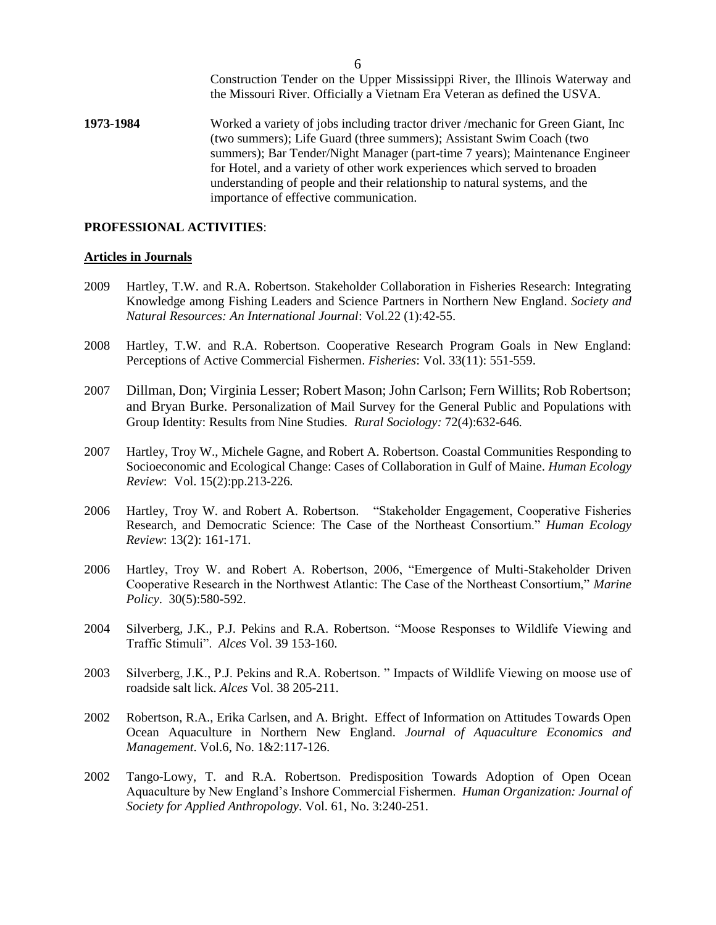Construction Tender on the Upper Mississippi River, the Illinois Waterway and the Missouri River. Officially a Vietnam Era Veteran as defined the USVA.

**1973-1984** Worked a variety of jobs including tractor driver /mechanic for Green Giant, Inc (two summers); Life Guard (three summers); Assistant Swim Coach (two summers); Bar Tender/Night Manager (part-time 7 years); Maintenance Engineer for Hotel, and a variety of other work experiences which served to broaden understanding of people and their relationship to natural systems, and the importance of effective communication.

### **PROFESSIONAL ACTIVITIES**:

### **Articles in Journals**

- 2009 Hartley, T.W. and R.A. Robertson. Stakeholder Collaboration in Fisheries Research: Integrating Knowledge among Fishing Leaders and Science Partners in Northern New England. *Society and Natural Resources: An International Journal*: Vol.22 (1):42-55.
- 2008 Hartley, T.W. and R.A. Robertson. Cooperative Research Program Goals in New England: Perceptions of Active Commercial Fishermen. *Fisheries*: Vol. 33(11): 551-559.
- 2007 Dillman, Don; Virginia Lesser; Robert Mason; John Carlson; Fern Willits; Rob Robertson; and Bryan Burke. Personalization of Mail Survey for the General Public and Populations with Group Identity: Results from Nine Studies. *Rural Sociology:* 72(4):632-646*.*
- 2007 Hartley, Troy W., Michele Gagne, and Robert A. Robertson. Coastal Communities Responding to Socioeconomic and Ecological Change: Cases of Collaboration in Gulf of Maine. *Human Ecology Review*: Vol. 15(2):pp.213-226*.*
- 2006 Hartley, Troy W. and Robert A. Robertson. "Stakeholder Engagement, Cooperative Fisheries Research, and Democratic Science: The Case of the Northeast Consortium." *Human Ecology Review*: 13(2): 161-171.
- 2006 Hartley, Troy W. and Robert A. Robertson, 2006, "Emergence of Multi-Stakeholder Driven Cooperative Research in the Northwest Atlantic: The Case of the Northeast Consortium," *Marine Policy*. 30(5):580-592.
- 2004 Silverberg, J.K., P.J. Pekins and R.A. Robertson. "Moose Responses to Wildlife Viewing and Traffic Stimuli". *Alces* Vol. 39 153-160.
- 2003 Silverberg, J.K., P.J. Pekins and R.A. Robertson. " Impacts of Wildlife Viewing on moose use of roadside salt lick. *Alces* Vol. 38 205-211.
- 2002 Robertson, R.A., Erika Carlsen, and A. Bright. Effect of Information on Attitudes Towards Open Ocean Aquaculture in Northern New England. *Journal of Aquaculture Economics and Management*. Vol.6, No. 1&2:117-126.
- 2002 Tango-Lowy, T. and R.A. Robertson. Predisposition Towards Adoption of Open Ocean Aquaculture by New England's Inshore Commercial Fishermen. *Human Organization: Journal of Society for Applied Anthropology*. Vol. 61, No. 3:240-251.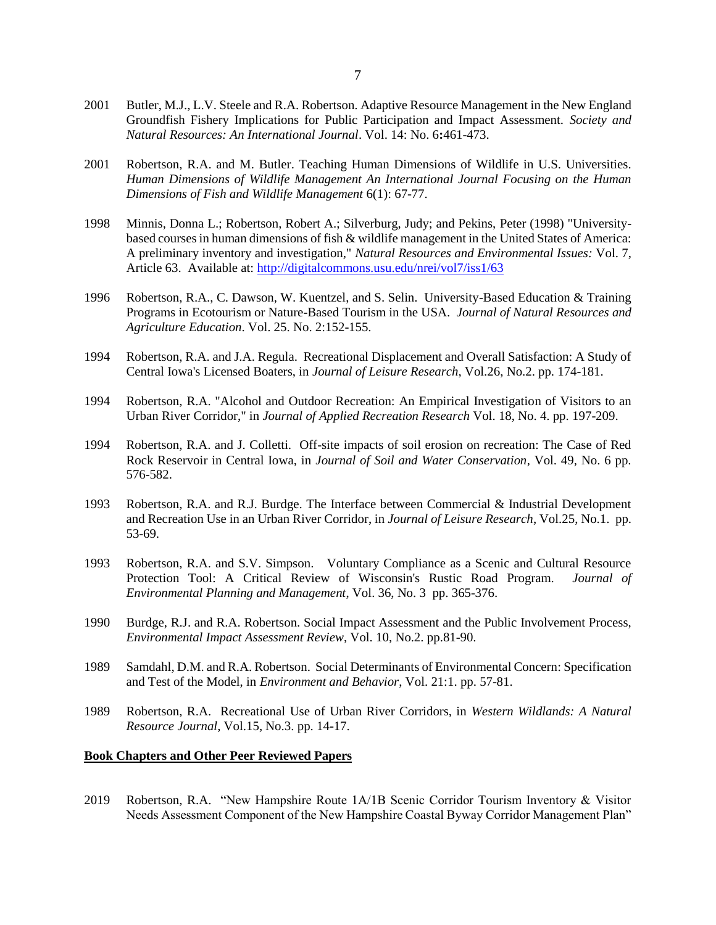- 2001 Butler, M.J., L.V. Steele and R.A. Robertson. Adaptive Resource Management in the New England Groundfish Fishery Implications for Public Participation and Impact Assessment. *Society and Natural Resources: An International Journal*. Vol. 14: No. 6**:**461-473.
- 2001 Robertson, R.A. and M. Butler. Teaching Human Dimensions of Wildlife in U.S. Universities. *Human Dimensions of Wildlife Management An International Journal Focusing on the Human Dimensions of Fish and Wildlife Management* 6(1): 67-77.
- 1998 Minnis, Donna L.; Robertson, Robert A.; Silverburg, Judy; and Pekins, Peter (1998) "Universitybased courses in human dimensions of fish & wildlife management in the United States of America: A preliminary inventory and investigation," *Natural Resources and Environmental Issues:* Vol. 7, Article 63. Available at:<http://digitalcommons.usu.edu/nrei/vol7/iss1/63>
- 1996 Robertson, R.A., C. Dawson, W. Kuentzel, and S. Selin. University-Based Education & Training Programs in Ecotourism or Nature-Based Tourism in the USA. *Journal of Natural Resources and Agriculture Education*. Vol. 25. No. 2:152-155.
- 1994 Robertson, R.A. and J.A. Regula. Recreational Displacement and Overall Satisfaction: A Study of Central Iowa's Licensed Boaters, in *Journal of Leisure Research*, Vol.26, No.2. pp. 174-181.
- 1994 Robertson, R.A. "Alcohol and Outdoor Recreation: An Empirical Investigation of Visitors to an Urban River Corridor," in *Journal of Applied Recreation Research* Vol. 18, No. 4. pp. 197-209.
- 1994 Robertson, R.A. and J. Colletti. Off-site impacts of soil erosion on recreation: The Case of Red Rock Reservoir in Central Iowa, in *Journal of Soil and Water Conservation*, Vol. 49, No. 6 pp. 576-582.
- 1993 Robertson, R.A. and R.J. Burdge. The Interface between Commercial & Industrial Development and Recreation Use in an Urban River Corridor, in *Journal of Leisure Research*, Vol.25, No.1. pp. 53-69.
- 1993 Robertson, R.A. and S.V. Simpson. Voluntary Compliance as a Scenic and Cultural Resource Protection Tool: A Critical Review of Wisconsin's Rustic Road Program. *Journal of Environmental Planning and Management*, Vol. 36, No. 3 pp. 365-376.
- 1990 Burdge, R.J. and R.A. Robertson. Social Impact Assessment and the Public Involvement Process, *Environmental Impact Assessment Review*, Vol. 10, No.2. pp.81-90.
- 1989 Samdahl, D.M. and R.A. Robertson. Social Determinants of Environmental Concern: Specification and Test of the Model, in *Environment and Behavior*, Vol. 21:1. pp. 57-81.
- 1989 Robertson, R.A. Recreational Use of Urban River Corridors, in *Western Wildlands: A Natural Resource Journal*, Vol.15, No.3. pp. 14-17.

#### **Book Chapters and Other Peer Reviewed Papers**

2019 Robertson, R.A. "New Hampshire Route 1A/1B Scenic Corridor Tourism Inventory & Visitor Needs Assessment Component of the New Hampshire Coastal Byway Corridor Management Plan"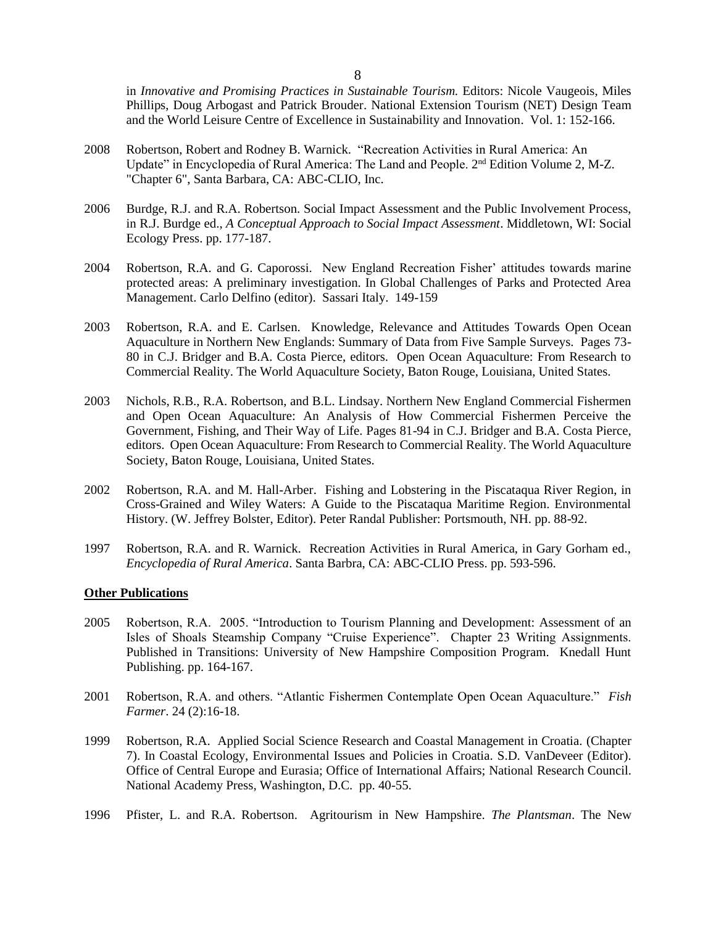in *Innovative and Promising Practices in Sustainable Tourism.* Editors: Nicole Vaugeois, Miles Phillips, Doug Arbogast and Patrick Brouder. National Extension Tourism (NET) Design Team and the World Leisure Centre of Excellence in Sustainability and Innovation. Vol. 1: 152-166.

- 2008 Robertson, Robert and Rodney B. Warnick. "Recreation Activities in Rural America: An Update" in Encyclopedia of Rural America: The Land and People. 2<sup>nd</sup> Edition Volume 2, M-Z. "Chapter 6", Santa Barbara, CA: ABC-CLIO, Inc.
- 2006 Burdge, R.J. and R.A. Robertson. Social Impact Assessment and the Public Involvement Process, in R.J. Burdge ed., *A Conceptual Approach to Social Impact Assessment*. Middletown, WI: Social Ecology Press. pp. 177-187.
- 2004 Robertson, R.A. and G. Caporossi. New England Recreation Fisher' attitudes towards marine protected areas: A preliminary investigation. In Global Challenges of Parks and Protected Area Management. Carlo Delfino (editor). Sassari Italy. 149-159
- 2003 Robertson, R.A. and E. Carlsen. Knowledge, Relevance and Attitudes Towards Open Ocean Aquaculture in Northern New Englands: Summary of Data from Five Sample Surveys. Pages 73- 80 in C.J. Bridger and B.A. Costa Pierce, editors. Open Ocean Aquaculture: From Research to Commercial Reality. The World Aquaculture Society, Baton Rouge, Louisiana, United States.
- 2003 Nichols, R.B., R.A. Robertson, and B.L. Lindsay. Northern New England Commercial Fishermen and Open Ocean Aquaculture: An Analysis of How Commercial Fishermen Perceive the Government, Fishing, and Their Way of Life. Pages 81-94 in C.J. Bridger and B.A. Costa Pierce, editors. Open Ocean Aquaculture: From Research to Commercial Reality. The World Aquaculture Society, Baton Rouge, Louisiana, United States.
- 2002 Robertson, R.A. and M. Hall-Arber. Fishing and Lobstering in the Piscataqua River Region, in Cross-Grained and Wiley Waters: A Guide to the Piscataqua Maritime Region. Environmental History. (W. Jeffrey Bolster, Editor). Peter Randal Publisher: Portsmouth, NH. pp. 88-92.
- 1997 Robertson, R.A. and R. Warnick. Recreation Activities in Rural America, in Gary Gorham ed., *Encyclopedia of Rural America*. Santa Barbra, CA: ABC-CLIO Press. pp. 593-596.

### **Other Publications**

- 2005 Robertson, R.A. 2005. "Introduction to Tourism Planning and Development: Assessment of an Isles of Shoals Steamship Company "Cruise Experience". Chapter 23 Writing Assignments. Published in Transitions: University of New Hampshire Composition Program. Knedall Hunt Publishing. pp. 164-167.
- 2001 Robertson, R.A. and others. "Atlantic Fishermen Contemplate Open Ocean Aquaculture." *Fish Farmer*. 24 (2):16-18.
- 1999 Robertson, R.A. Applied Social Science Research and Coastal Management in Croatia. (Chapter 7). In Coastal Ecology, Environmental Issues and Policies in Croatia. S.D. VanDeveer (Editor). Office of Central Europe and Eurasia; Office of International Affairs; National Research Council. National Academy Press, Washington, D.C. pp. 40-55.
- 1996 Pfister, L. and R.A. Robertson. Agritourism in New Hampshire. *The Plantsman*. The New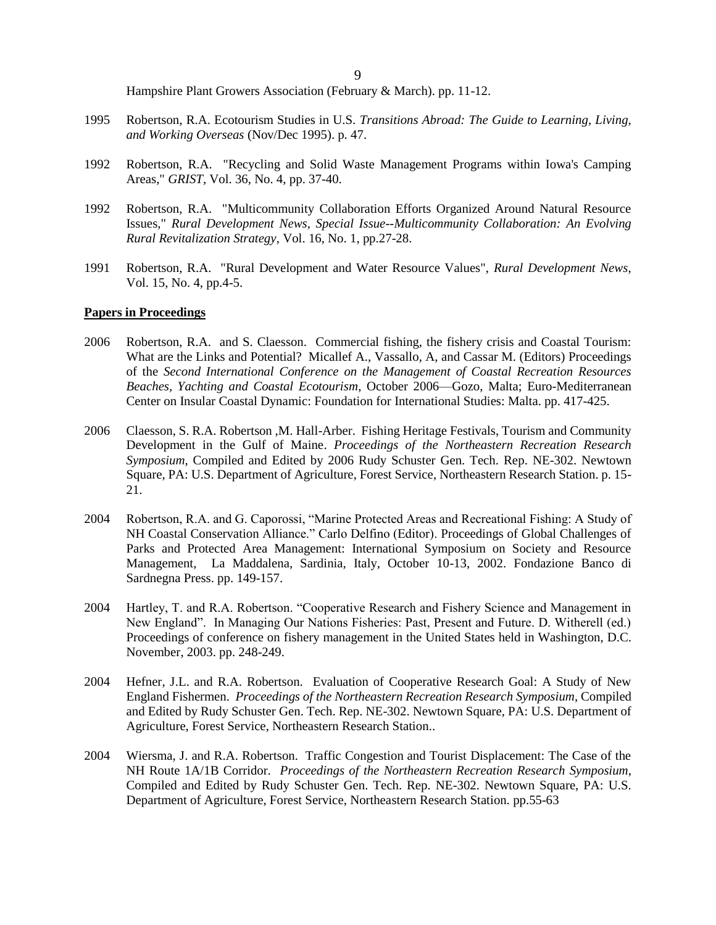Hampshire Plant Growers Association (February & March). pp. 11-12.

- 1995 Robertson, R.A. Ecotourism Studies in U.S. *Transitions Abroad: The Guide to Learning, Living, and Working Overseas* (Nov/Dec 1995). p. 47.
- 1992 Robertson, R.A. "Recycling and Solid Waste Management Programs within Iowa's Camping Areas," *GRIST*, Vol. 36, No. 4, pp. 37-40.
- 1992 Robertson, R.A. "Multicommunity Collaboration Efforts Organized Around Natural Resource Issues," *Rural Development News, Special Issue--Multicommunity Collaboration: An Evolving Rural Revitalization Strategy*, Vol. 16, No. 1, pp.27-28.
- 1991 Robertson, R.A. "Rural Development and Water Resource Values", *Rural Development News*, Vol. 15, No. 4, pp.4-5.

#### **Papers in Proceedings**

- 2006 Robertson, R.A. and S. Claesson. Commercial fishing, the fishery crisis and Coastal Tourism: What are the Links and Potential? Micallef A., Vassallo, A, and Cassar M. (Editors) Proceedings of the *Second International Conference on the Management of Coastal Recreation Resources Beaches, Yachting and Coastal Ecotourism*, October 2006—Gozo, Malta; Euro-Mediterranean Center on Insular Coastal Dynamic: Foundation for International Studies: Malta. pp. 417-425.
- 2006 Claesson, S. R.A. Robertson ,M. Hall-Arber. Fishing Heritage Festivals, Tourism and Community Development in the Gulf of Maine. *Proceedings of the Northeastern Recreation Research Symposium*, Compiled and Edited by 2006 Rudy Schuster Gen. Tech. Rep. NE-302. Newtown Square, PA: U.S. Department of Agriculture, Forest Service, Northeastern Research Station. p. 15- 21.
- 2004 Robertson, R.A. and G. Caporossi, "Marine Protected Areas and Recreational Fishing: A Study of NH Coastal Conservation Alliance." Carlo Delfino (Editor). Proceedings of Global Challenges of Parks and Protected Area Management: International Symposium on Society and Resource Management, La Maddalena, Sardinia, Italy, October 10-13, 2002. Fondazione Banco di Sardnegna Press. pp. 149-157.
- 2004 Hartley, T. and R.A. Robertson. "Cooperative Research and Fishery Science and Management in New England". In Managing Our Nations Fisheries: Past, Present and Future. D. Witherell (ed.) Proceedings of conference on fishery management in the United States held in Washington, D.C. November, 2003. pp. 248-249.
- 2004 Hefner, J.L. and R.A. Robertson. Evaluation of Cooperative Research Goal: A Study of New England Fishermen. *Proceedings of the Northeastern Recreation Research Symposium*, Compiled and Edited by Rudy Schuster Gen. Tech. Rep. NE-302. Newtown Square, PA: U.S. Department of Agriculture, Forest Service, Northeastern Research Station..
- 2004 Wiersma, J. and R.A. Robertson. Traffic Congestion and Tourist Displacement: The Case of the NH Route 1A/1B Corridor. *Proceedings of the Northeastern Recreation Research Symposium*, Compiled and Edited by Rudy Schuster Gen. Tech. Rep. NE-302. Newtown Square, PA: U.S. Department of Agriculture, Forest Service, Northeastern Research Station. pp.55-63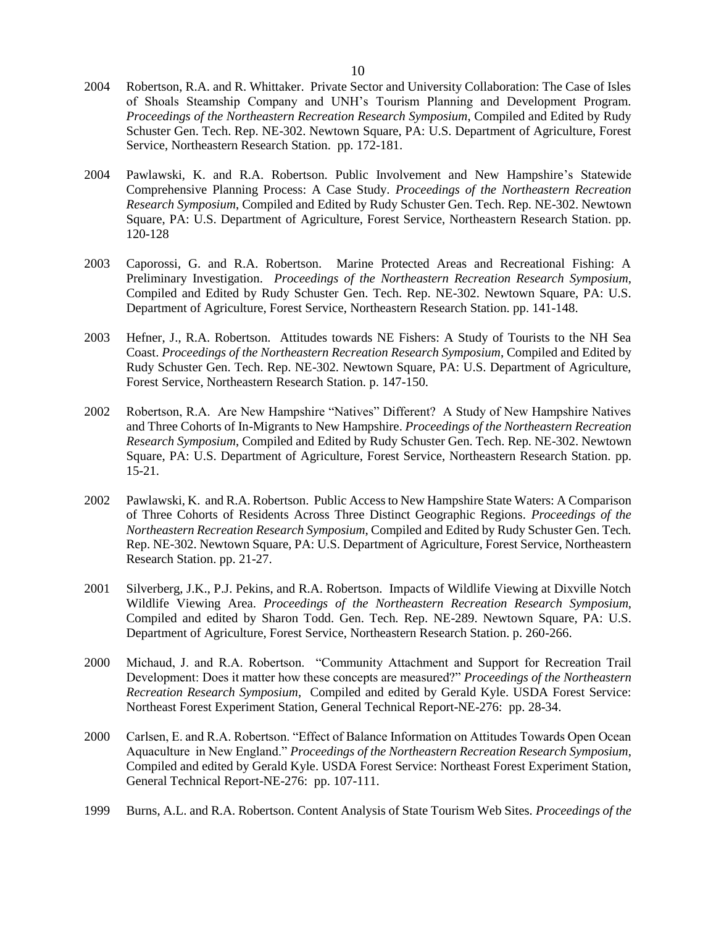- 2004 Robertson, R.A. and R. Whittaker. Private Sector and University Collaboration: The Case of Isles of Shoals Steamship Company and UNH's Tourism Planning and Development Program. *Proceedings of the Northeastern Recreation Research Symposium*, Compiled and Edited by Rudy Schuster Gen. Tech. Rep. NE-302. Newtown Square, PA: U.S. Department of Agriculture, Forest Service, Northeastern Research Station. pp. 172-181.
- 2004 Pawlawski, K. and R.A. Robertson. Public Involvement and New Hampshire's Statewide Comprehensive Planning Process: A Case Study. *Proceedings of the Northeastern Recreation Research Symposium*, Compiled and Edited by Rudy Schuster Gen. Tech. Rep. NE-302. Newtown Square, PA: U.S. Department of Agriculture, Forest Service, Northeastern Research Station. pp. 120-128
- 2003 Caporossi, G. and R.A. Robertson. Marine Protected Areas and Recreational Fishing: A Preliminary Investigation. *Proceedings of the Northeastern Recreation Research Symposium*, Compiled and Edited by Rudy Schuster Gen. Tech. Rep. NE-302. Newtown Square, PA: U.S. Department of Agriculture, Forest Service, Northeastern Research Station. pp. 141-148.
- 2003 Hefner, J., R.A. Robertson. Attitudes towards NE Fishers: A Study of Tourists to the NH Sea Coast. *Proceedings of the Northeastern Recreation Research Symposium*, Compiled and Edited by Rudy Schuster Gen. Tech. Rep. NE-302. Newtown Square, PA: U.S. Department of Agriculture, Forest Service, Northeastern Research Station. p. 147-150.
- 2002 Robertson, R.A. Are New Hampshire "Natives" Different? A Study of New Hampshire Natives and Three Cohorts of In-Migrants to New Hampshire. *Proceedings of the Northeastern Recreation Research Symposium*, Compiled and Edited by Rudy Schuster Gen. Tech. Rep. NE-302. Newtown Square, PA: U.S. Department of Agriculture, Forest Service, Northeastern Research Station. pp. 15-21.
- 2002 Pawlawski, K. and R.A. Robertson. Public Access to New Hampshire State Waters: A Comparison of Three Cohorts of Residents Across Three Distinct Geographic Regions. *Proceedings of the Northeastern Recreation Research Symposium*, Compiled and Edited by Rudy Schuster Gen. Tech. Rep. NE-302. Newtown Square, PA: U.S. Department of Agriculture, Forest Service, Northeastern Research Station. pp. 21-27.
- 2001 Silverberg, J.K., P.J. Pekins, and R.A. Robertson. Impacts of Wildlife Viewing at Dixville Notch Wildlife Viewing Area. *Proceedings of the Northeastern Recreation Research Symposium*, Compiled and edited by Sharon Todd. Gen. Tech. Rep. NE-289. Newtown Square, PA: U.S. Department of Agriculture, Forest Service, Northeastern Research Station. p. 260-266.
- 2000 Michaud, J. and R.A. Robertson. "Community Attachment and Support for Recreation Trail Development: Does it matter how these concepts are measured?" *Proceedings of the Northeastern Recreation Research Symposium*, Compiled and edited by Gerald Kyle. USDA Forest Service: Northeast Forest Experiment Station, General Technical Report-NE-276: pp. 28-34.
- 2000 Carlsen, E. and R.A. Robertson. "Effect of Balance Information on Attitudes Towards Open Ocean Aquaculture in New England." *Proceedings of the Northeastern Recreation Research Symposium*, Compiled and edited by Gerald Kyle. USDA Forest Service: Northeast Forest Experiment Station, General Technical Report-NE-276: pp. 107-111.
- 1999 Burns, A.L. and R.A. Robertson. Content Analysis of State Tourism Web Sites. *Proceedings of the*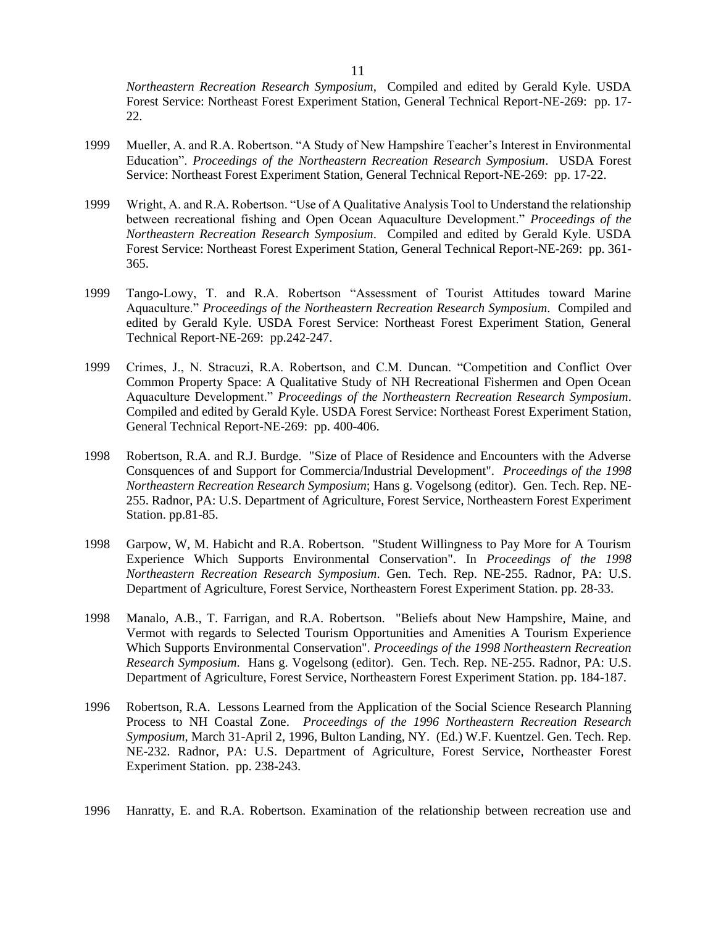*Northeastern Recreation Research Symposium*, Compiled and edited by Gerald Kyle. USDA Forest Service: Northeast Forest Experiment Station, General Technical Report-NE-269: pp. 17- 22.

- 1999 Mueller, A. and R.A. Robertson. "A Study of New Hampshire Teacher's Interest in Environmental Education". *Proceedings of the Northeastern Recreation Research Symposium*. USDA Forest Service: Northeast Forest Experiment Station, General Technical Report-NE-269: pp. 17-22.
- 1999 Wright, A. and R.A. Robertson. "Use of A Qualitative Analysis Tool to Understand the relationship between recreational fishing and Open Ocean Aquaculture Development." *Proceedings of the Northeastern Recreation Research Symposium*. Compiled and edited by Gerald Kyle. USDA Forest Service: Northeast Forest Experiment Station, General Technical Report-NE-269: pp. 361- 365.
- 1999 Tango-Lowy, T. and R.A. Robertson "Assessment of Tourist Attitudes toward Marine Aquaculture." *Proceedings of the Northeastern Recreation Research Symposium*. Compiled and edited by Gerald Kyle. USDA Forest Service: Northeast Forest Experiment Station, General Technical Report-NE-269: pp.242-247.
- 1999 Crimes, J., N. Stracuzi, R.A. Robertson, and C.M. Duncan. "Competition and Conflict Over Common Property Space: A Qualitative Study of NH Recreational Fishermen and Open Ocean Aquaculture Development." *Proceedings of the Northeastern Recreation Research Symposium*. Compiled and edited by Gerald Kyle. USDA Forest Service: Northeast Forest Experiment Station, General Technical Report-NE-269: pp. 400-406.
- 1998 Robertson, R.A. and R.J. Burdge. "Size of Place of Residence and Encounters with the Adverse Consquences of and Support for Commercia/Industrial Development". *Proceedings of the 1998 Northeastern Recreation Research Symposium*; Hans g. Vogelsong (editor). Gen. Tech. Rep. NE-255. Radnor, PA: U.S. Department of Agriculture, Forest Service, Northeastern Forest Experiment Station. pp.81-85.
- 1998 Garpow, W, M. Habicht and R.A. Robertson. "Student Willingness to Pay More for A Tourism Experience Which Supports Environmental Conservation". In *Proceedings of the 1998 Northeastern Recreation Research Symposium*. Gen. Tech. Rep. NE-255. Radnor, PA: U.S. Department of Agriculture, Forest Service, Northeastern Forest Experiment Station. pp. 28-33.
- 1998 Manalo, A.B., T. Farrigan, and R.A. Robertson. "Beliefs about New Hampshire, Maine, and Vermot with regards to Selected Tourism Opportunities and Amenities A Tourism Experience Which Supports Environmental Conservation". *Proceedings of the 1998 Northeastern Recreation Research Symposium*. Hans g. Vogelsong (editor). Gen. Tech. Rep. NE-255. Radnor, PA: U.S. Department of Agriculture, Forest Service, Northeastern Forest Experiment Station. pp. 184-187.
- 1996 Robertson, R.A. Lessons Learned from the Application of the Social Science Research Planning Process to NH Coastal Zone. *Proceedings of the 1996 Northeastern Recreation Research Symposium*, March 31-April 2, 1996, Bulton Landing, NY. (Ed.) W.F. Kuentzel. Gen. Tech. Rep. NE-232. Radnor, PA: U.S. Department of Agriculture, Forest Service, Northeaster Forest Experiment Station. pp. 238-243.
- 1996 Hanratty, E. and R.A. Robertson. Examination of the relationship between recreation use and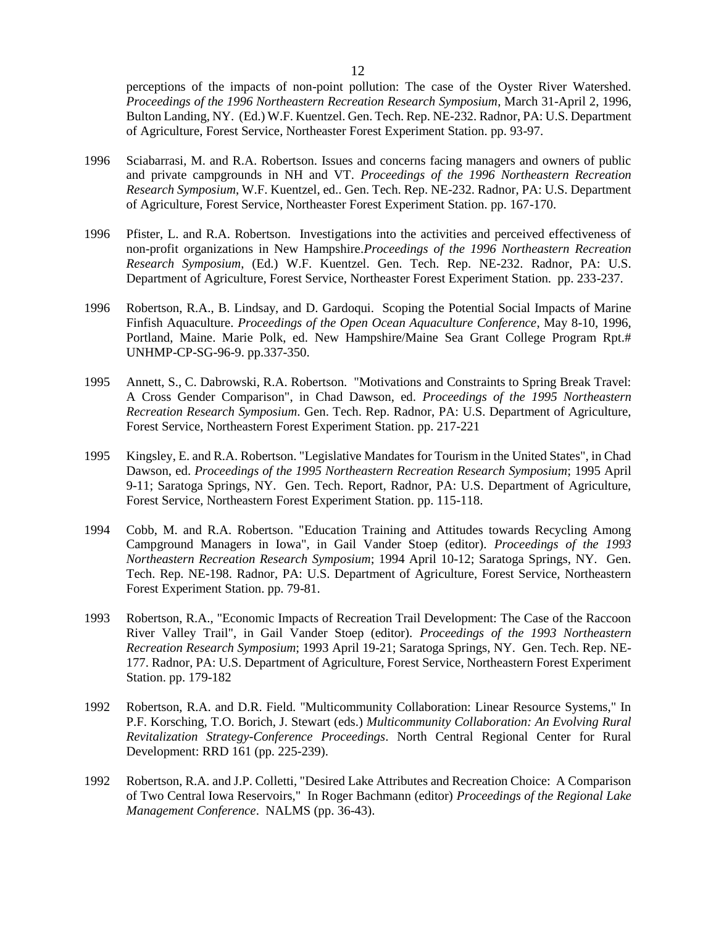perceptions of the impacts of non-point pollution: The case of the Oyster River Watershed. *Proceedings of the 1996 Northeastern Recreation Research Symposium*, March 31-April 2, 1996, Bulton Landing, NY. (Ed.) W.F. Kuentzel. Gen. Tech. Rep. NE-232. Radnor, PA: U.S. Department of Agriculture, Forest Service, Northeaster Forest Experiment Station. pp. 93-97.

- 1996 Sciabarrasi, M. and R.A. Robertson. Issues and concerns facing managers and owners of public and private campgrounds in NH and VT. *Proceedings of the 1996 Northeastern Recreation Research Symposium*, W.F. Kuentzel, ed.. Gen. Tech. Rep. NE-232. Radnor, PA: U.S. Department of Agriculture, Forest Service, Northeaster Forest Experiment Station. pp. 167-170.
- 1996 Pfister, L. and R.A. Robertson. Investigations into the activities and perceived effectiveness of non-profit organizations in New Hampshire.*Proceedings of the 1996 Northeastern Recreation Research Symposium*, (Ed.) W.F. Kuentzel. Gen. Tech. Rep. NE-232. Radnor, PA: U.S. Department of Agriculture, Forest Service, Northeaster Forest Experiment Station. pp. 233-237.
- 1996 Robertson, R.A., B. Lindsay, and D. Gardoqui. Scoping the Potential Social Impacts of Marine Finfish Aquaculture. *Proceedings of the Open Ocean Aquaculture Conference*, May 8-10, 1996, Portland, Maine. Marie Polk, ed. New Hampshire/Maine Sea Grant College Program Rpt.# UNHMP-CP-SG-96-9. pp.337-350.
- 1995 Annett, S., C. Dabrowski, R.A. Robertson. "Motivations and Constraints to Spring Break Travel: A Cross Gender Comparison", in Chad Dawson, ed. *Proceedings of the 1995 Northeastern Recreation Research Symposium*. Gen. Tech. Rep. Radnor, PA: U.S. Department of Agriculture, Forest Service, Northeastern Forest Experiment Station. pp. 217-221
- 1995 Kingsley, E. and R.A. Robertson. "Legislative Mandates for Tourism in the United States", in Chad Dawson, ed. *Proceedings of the 1995 Northeastern Recreation Research Symposium*; 1995 April 9-11; Saratoga Springs, NY. Gen. Tech. Report, Radnor, PA: U.S. Department of Agriculture, Forest Service, Northeastern Forest Experiment Station. pp. 115-118.
- 1994 Cobb, M. and R.A. Robertson. "Education Training and Attitudes towards Recycling Among Campground Managers in Iowa", in Gail Vander Stoep (editor). *Proceedings of the 1993 Northeastern Recreation Research Symposium*; 1994 April 10-12; Saratoga Springs, NY. Gen. Tech. Rep. NE-198. Radnor, PA: U.S. Department of Agriculture, Forest Service, Northeastern Forest Experiment Station. pp. 79-81.
- 1993 Robertson, R.A., "Economic Impacts of Recreation Trail Development: The Case of the Raccoon River Valley Trail", in Gail Vander Stoep (editor). *Proceedings of the 1993 Northeastern Recreation Research Symposium*; 1993 April 19-21; Saratoga Springs, NY. Gen. Tech. Rep. NE-177. Radnor, PA: U.S. Department of Agriculture, Forest Service, Northeastern Forest Experiment Station. pp. 179-182
- 1992 Robertson, R.A. and D.R. Field. "Multicommunity Collaboration: Linear Resource Systems," In P.F. Korsching, T.O. Borich, J. Stewart (eds.) *Multicommunity Collaboration: An Evolving Rural Revitalization Strategy-Conference Proceedings*. North Central Regional Center for Rural Development: RRD 161 (pp. 225-239).
- 1992 Robertson, R.A. and J.P. Colletti, "Desired Lake Attributes and Recreation Choice: A Comparison of Two Central Iowa Reservoirs," In Roger Bachmann (editor) *Proceedings of the Regional Lake Management Conference*. NALMS (pp. 36-43).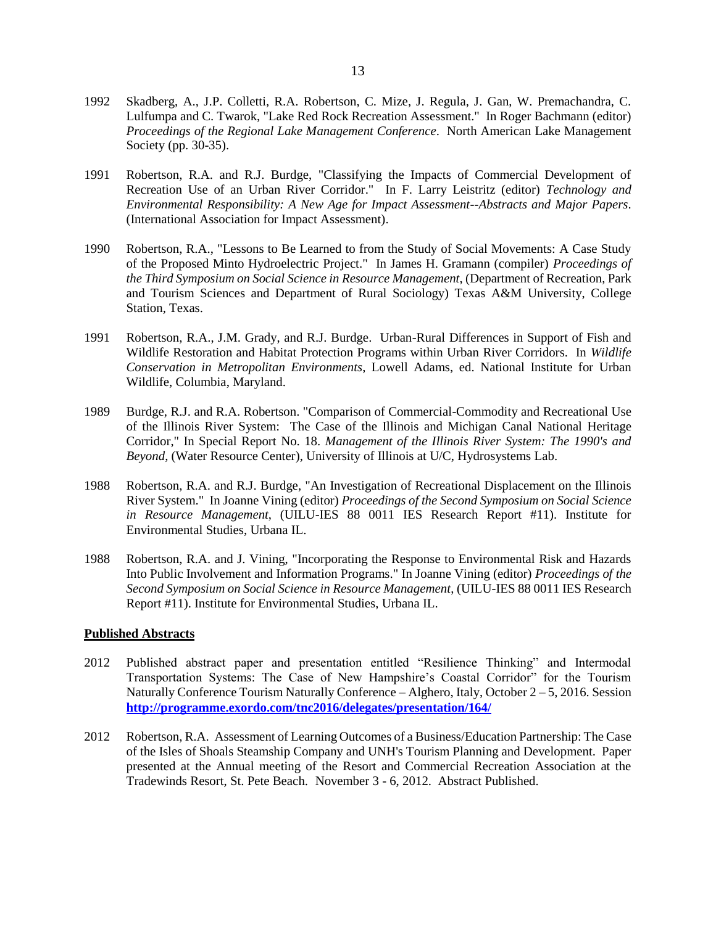- 1992 Skadberg, A., J.P. Colletti, R.A. Robertson, C. Mize, J. Regula, J. Gan, W. Premachandra, C. Lulfumpa and C. Twarok, "Lake Red Rock Recreation Assessment." In Roger Bachmann (editor) *Proceedings of the Regional Lake Management Conference*. North American Lake Management Society (pp. 30-35).
- 1991 Robertson, R.A. and R.J. Burdge, "Classifying the Impacts of Commercial Development of Recreation Use of an Urban River Corridor." In F. Larry Leistritz (editor) *Technology and Environmental Responsibility: A New Age for Impact Assessment--Abstracts and Major Papers*. (International Association for Impact Assessment).
- 1990 Robertson, R.A., "Lessons to Be Learned to from the Study of Social Movements: A Case Study of the Proposed Minto Hydroelectric Project." In James H. Gramann (compiler) *Proceedings of the Third Symposium on Social Science in Resource Management*, (Department of Recreation, Park and Tourism Sciences and Department of Rural Sociology) Texas A&M University, College Station, Texas.
- 1991 Robertson, R.A., J.M. Grady, and R.J. Burdge. Urban-Rural Differences in Support of Fish and Wildlife Restoration and Habitat Protection Programs within Urban River Corridors. In *Wildlife Conservation in Metropolitan Environments*, Lowell Adams, ed. National Institute for Urban Wildlife, Columbia, Maryland.
- 1989 Burdge, R.J. and R.A. Robertson. "Comparison of Commercial-Commodity and Recreational Use of the Illinois River System: The Case of the Illinois and Michigan Canal National Heritage Corridor," In Special Report No. 18. *Management of the Illinois River System: The 1990's and Beyond*, (Water Resource Center), University of Illinois at U/C, Hydrosystems Lab.
- 1988 Robertson, R.A. and R.J. Burdge, "An Investigation of Recreational Displacement on the Illinois River System." In Joanne Vining (editor) *Proceedings of the Second Symposium on Social Science in Resource Management*, (UILU-IES 88 0011 IES Research Report #11). Institute for Environmental Studies, Urbana IL.
- 1988 Robertson, R.A. and J. Vining, "Incorporating the Response to Environmental Risk and Hazards Into Public Involvement and Information Programs." In Joanne Vining (editor) *Proceedings of the Second Symposium on Social Science in Resource Management*, (UILU-IES 88 0011 IES Research Report #11). Institute for Environmental Studies, Urbana IL.

### **Published Abstracts**

- 2012 Published abstract paper and presentation entitled "Resilience Thinking" and Intermodal Transportation Systems: The Case of New Hampshire's Coastal Corridor" for the Tourism Naturally Conference Tourism Naturally Conference – Alghero, Italy, October 2 – 5, 2016. Session **<http://programme.exordo.com/tnc2016/delegates/presentation/164/>**
- 2012 Robertson, R.A. Assessment of Learning Outcomes of a Business/Education Partnership: The Case of the Isles of Shoals Steamship Company and UNH's Tourism Planning and Development. Paper presented at the Annual meeting of the Resort and Commercial Recreation Association at the Tradewinds Resort, St. Pete Beach. November 3 - 6, 2012. Abstract Published.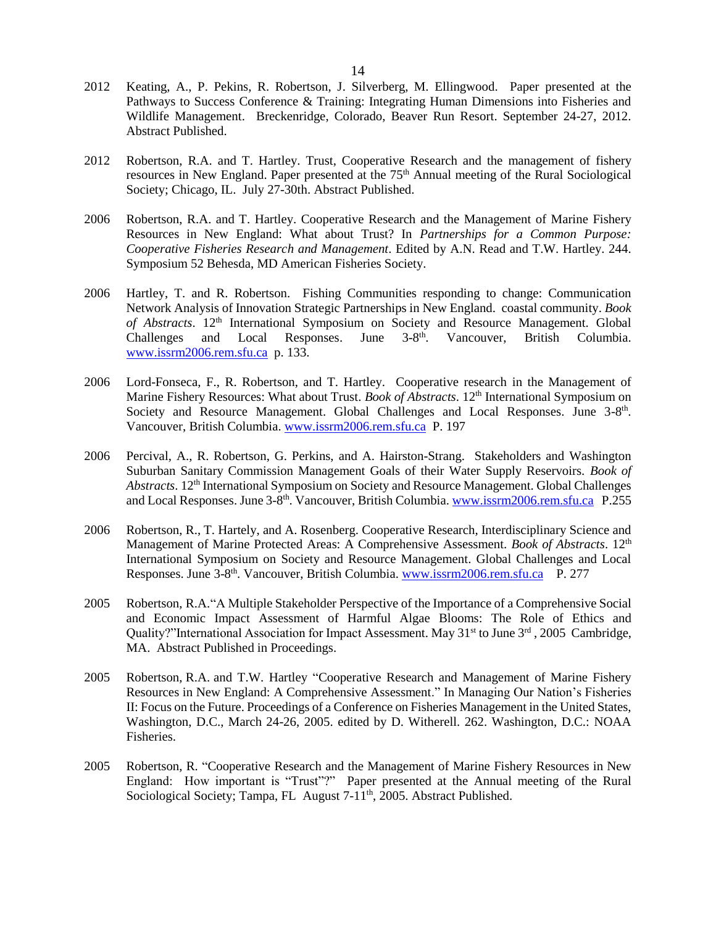- 2012 Keating, A., P. Pekins, R. Robertson, J. Silverberg, M. Ellingwood. Paper presented at the Pathways to Success Conference & Training: Integrating Human Dimensions into Fisheries and Wildlife Management. Breckenridge, Colorado, Beaver Run Resort. September 24-27, 2012. Abstract Published.
- 2012 Robertson, R.A. and T. Hartley. Trust, Cooperative Research and the management of fishery resources in New England. Paper presented at the 75<sup>th</sup> Annual meeting of the Rural Sociological Society; Chicago, IL. July 27-30th. Abstract Published.
- 2006 Robertson, R.A. and T. Hartley. Cooperative Research and the Management of Marine Fishery Resources in New England: What about Trust? In *Partnerships for a Common Purpose: Cooperative Fisheries Research and Management*. Edited by A.N. Read and T.W. Hartley. 244. Symposium 52 Behesda, MD American Fisheries Society.
- 2006 Hartley, T. and R. Robertson. Fishing Communities responding to change: Communication Network Analysis of Innovation Strategic Partnerships in New England. coastal community. *Book of Abstracts*. 12th International Symposium on Society and Resource Management. Global Challenges and Local Responses. June 3-8<sup>th</sup>. Vancouver, British Columbia. [www.issrm2006.rem.sfu.ca](http://www.issrm2006.rem.sfu.ca/) p. 133.
- 2006 Lord-Fonseca, F., R. Robertson, and T. Hartley. Cooperative research in the Management of Marine Fishery Resources: What about Trust. *Book of Abstracts*. 12<sup>th</sup> International Symposium on Society and Resource Management. Global Challenges and Local Responses. June 3-8<sup>th</sup>. Vancouver, British Columbia. [www.issrm2006.rem.sfu.ca](http://www.issrm2006.rem.sfu.ca/) P. 197
- 2006 Percival, A., R. Robertson, G. Perkins, and A. Hairston-Strang. Stakeholders and Washington Suburban Sanitary Commission Management Goals of their Water Supply Reservoirs. *Book of Abstracts*. 12th International Symposium on Society and Resource Management. Global Challenges and Local Responses. June 3-8<sup>th</sup>. Vancouver, British Columbia[. www.issrm2006.rem.sfu.ca](http://www.issrm2006.rem.sfu.ca/) P.255
- 2006 Robertson, R., T. Hartely, and A. Rosenberg. Cooperative Research, Interdisciplinary Science and Management of Marine Protected Areas: A Comprehensive Assessment. *Book of Abstracts*. 12th International Symposium on Society and Resource Management. Global Challenges and Local Responses. June 3-8<sup>th</sup>. Vancouver, British Columbia. [www.issrm2006.rem.sfu.ca](http://www.issrm2006.rem.sfu.ca/) P. 277
- 2005 Robertson, R.A."A Multiple Stakeholder Perspective of the Importance of a Comprehensive Social and Economic Impact Assessment of Harmful Algae Blooms: The Role of Ethics and Quality?"International Association for Impact Assessment. May 31<sup>st</sup> to June 3<sup>rd</sup>, 2005 Cambridge, MA. Abstract Published in Proceedings.
- 2005 Robertson, R.A. and T.W. Hartley "Cooperative Research and Management of Marine Fishery Resources in New England: A Comprehensive Assessment." In Managing Our Nation's Fisheries II: Focus on the Future. Proceedings of a Conference on Fisheries Management in the United States, Washington, D.C., March 24-26, 2005. edited by D. Witherell. 262. Washington, D.C.: NOAA Fisheries.
- 2005 Robertson, R. "Cooperative Research and the Management of Marine Fishery Resources in New England: How important is "Trust"?" Paper presented at the Annual meeting of the Rural Sociological Society; Tampa, FL August  $7-11^{th}$ , 2005. Abstract Published.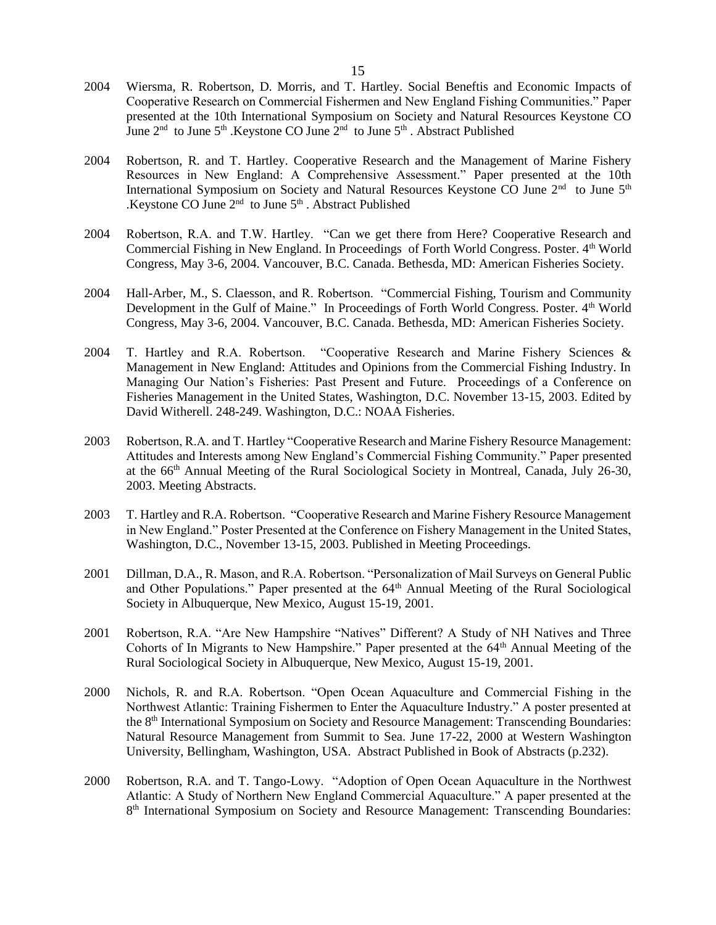- 2004 Wiersma, R. Robertson, D. Morris, and T. Hartley. Social Beneftis and Economic Impacts of Cooperative Research on Commercial Fishermen and New England Fishing Communities." Paper presented at the 10th International Symposium on Society and Natural Resources Keystone CO June  $2<sup>nd</sup>$  to June  $5<sup>th</sup>$ . Keystone CO June  $2<sup>nd</sup>$  to June  $5<sup>th</sup>$ . Abstract Published
- 2004 Robertson, R. and T. Hartley. Cooperative Research and the Management of Marine Fishery Resources in New England: A Comprehensive Assessment." Paper presented at the 10th International Symposium on Society and Natural Resources Keystone CO June 2<sup>nd</sup> to June 5<sup>th</sup> .Keystone CO June  $2<sup>nd</sup>$  to June  $5<sup>th</sup>$ . Abstract Published
- 2004 Robertson, R.A. and T.W. Hartley. "Can we get there from Here? Cooperative Research and Commercial Fishing in New England. In Proceedings of Forth World Congress. Poster. 4th World Congress, May 3-6, 2004. Vancouver, B.C. Canada. Bethesda, MD: American Fisheries Society.
- 2004 Hall-Arber, M., S. Claesson, and R. Robertson. "Commercial Fishing, Tourism and Community Development in the Gulf of Maine." In Proceedings of Forth World Congress. Poster. 4<sup>th</sup> World Congress, May 3-6, 2004. Vancouver, B.C. Canada. Bethesda, MD: American Fisheries Society.
- 2004 T. Hartley and R.A. Robertson. "Cooperative Research and Marine Fishery Sciences & Management in New England: Attitudes and Opinions from the Commercial Fishing Industry. In Managing Our Nation's Fisheries: Past Present and Future. Proceedings of a Conference on Fisheries Management in the United States, Washington, D.C. November 13-15, 2003. Edited by David Witherell. 248-249. Washington, D.C.: NOAA Fisheries.
- 2003 Robertson, R.A. and T. Hartley "Cooperative Research and Marine Fishery Resource Management: Attitudes and Interests among New England's Commercial Fishing Community." Paper presented at the 66th Annual Meeting of the Rural Sociological Society in Montreal, Canada, July 26-30, 2003. Meeting Abstracts.
- 2003 T. Hartley and R.A. Robertson. "Cooperative Research and Marine Fishery Resource Management in New England." Poster Presented at the Conference on Fishery Management in the United States, Washington, D.C., November 13-15, 2003. Published in Meeting Proceedings.
- 2001 Dillman, D.A., R. Mason, and R.A. Robertson. "Personalization of Mail Surveys on General Public and Other Populations." Paper presented at the 64<sup>th</sup> Annual Meeting of the Rural Sociological Society in Albuquerque, New Mexico, August 15-19, 2001.
- 2001 Robertson, R.A. "Are New Hampshire "Natives" Different? A Study of NH Natives and Three Cohorts of In Migrants to New Hampshire." Paper presented at the 64<sup>th</sup> Annual Meeting of the Rural Sociological Society in Albuquerque, New Mexico, August 15-19, 2001.
- 2000 Nichols, R. and R.A. Robertson. "Open Ocean Aquaculture and Commercial Fishing in the Northwest Atlantic: Training Fishermen to Enter the Aquaculture Industry." A poster presented at the 8th International Symposium on Society and Resource Management: Transcending Boundaries: Natural Resource Management from Summit to Sea. June 17-22, 2000 at Western Washington University, Bellingham, Washington, USA. Abstract Published in Book of Abstracts (p.232).
- 2000 Robertson, R.A. and T. Tango-Lowy. "Adoption of Open Ocean Aquaculture in the Northwest Atlantic: A Study of Northern New England Commercial Aquaculture." A paper presented at the 8<sup>th</sup> International Symposium on Society and Resource Management: Transcending Boundaries: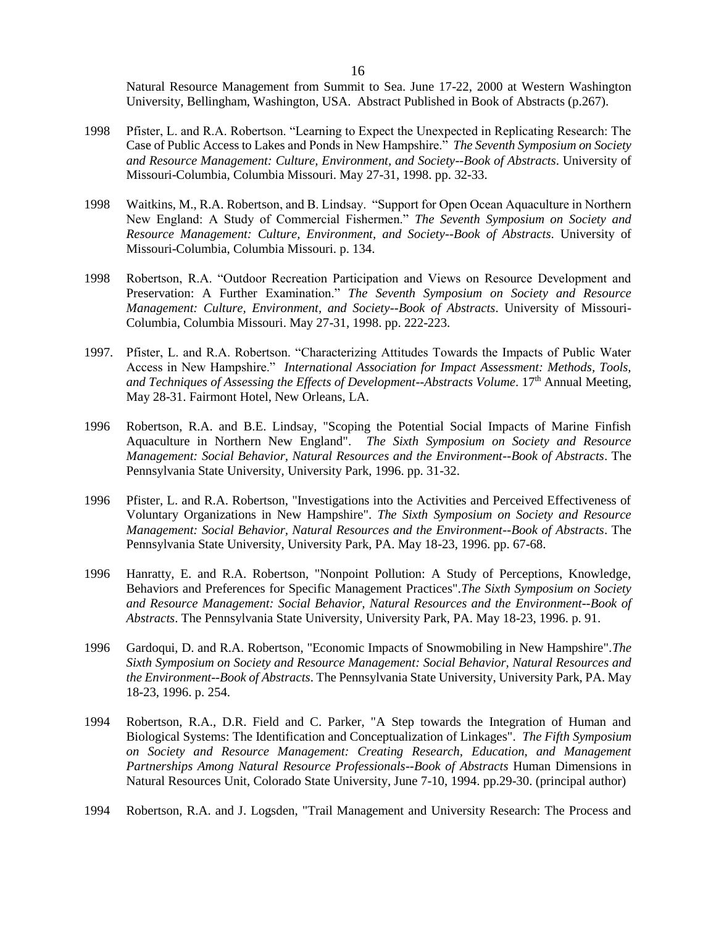Natural Resource Management from Summit to Sea. June 17-22, 2000 at Western Washington University, Bellingham, Washington, USA. Abstract Published in Book of Abstracts (p.267).

- 1998 Pfister, L. and R.A. Robertson. "Learning to Expect the Unexpected in Replicating Research: The Case of Public Access to Lakes and Ponds in New Hampshire." *The Seventh Symposium on Society and Resource Management: Culture, Environment, and Society--Book of Abstracts*. University of Missouri-Columbia, Columbia Missouri. May 27-31, 1998. pp. 32-33.
- 1998 Waitkins, M., R.A. Robertson, and B. Lindsay. "Support for Open Ocean Aquaculture in Northern New England: A Study of Commercial Fishermen." *The Seventh Symposium on Society and Resource Management: Culture, Environment, and Society--Book of Abstracts*. University of Missouri-Columbia, Columbia Missouri. p. 134.
- 1998 Robertson, R.A. "Outdoor Recreation Participation and Views on Resource Development and Preservation: A Further Examination." *The Seventh Symposium on Society and Resource Management: Culture, Environment, and Society--Book of Abstracts*. University of Missouri-Columbia, Columbia Missouri. May 27-31, 1998. pp. 222-223.
- 1997. Pfister, L. and R.A. Robertson. "Characterizing Attitudes Towards the Impacts of Public Water Access in New Hampshire." *International Association for Impact Assessment: Methods, Tools,*  and Techniques of Assessing the Effects of Development--Abstracts Volume. 17<sup>th</sup> Annual Meeting, May 28-31. Fairmont Hotel, New Orleans, LA.
- 1996 Robertson, R.A. and B.E. Lindsay, "Scoping the Potential Social Impacts of Marine Finfish Aquaculture in Northern New England". *The Sixth Symposium on Society and Resource Management: Social Behavior, Natural Resources and the Environment--Book of Abstracts*. The Pennsylvania State University, University Park, 1996. pp. 31-32.
- 1996 Pfister, L. and R.A. Robertson, "Investigations into the Activities and Perceived Effectiveness of Voluntary Organizations in New Hampshire". *The Sixth Symposium on Society and Resource Management: Social Behavior, Natural Resources and the Environment--Book of Abstracts*. The Pennsylvania State University, University Park, PA. May 18-23, 1996. pp. 67-68.
- 1996 Hanratty, E. and R.A. Robertson, "Nonpoint Pollution: A Study of Perceptions, Knowledge, Behaviors and Preferences for Specific Management Practices".*The Sixth Symposium on Society and Resource Management: Social Behavior, Natural Resources and the Environment--Book of Abstracts*. The Pennsylvania State University, University Park, PA. May 18-23, 1996. p. 91.
- 1996 Gardoqui, D. and R.A. Robertson, "Economic Impacts of Snowmobiling in New Hampshire".*The Sixth Symposium on Society and Resource Management: Social Behavior, Natural Resources and the Environment--Book of Abstracts*. The Pennsylvania State University, University Park, PA. May 18-23, 1996. p. 254.
- 1994 Robertson, R.A., D.R. Field and C. Parker, "A Step towards the Integration of Human and Biological Systems: The Identification and Conceptualization of Linkages". *The Fifth Symposium on Society and Resource Management: Creating Research, Education, and Management Partnerships Among Natural Resource Professionals--Book of Abstracts* Human Dimensions in Natural Resources Unit, Colorado State University, June 7-10, 1994. pp.29-30. (principal author)
- 1994 Robertson, R.A. and J. Logsden, "Trail Management and University Research: The Process and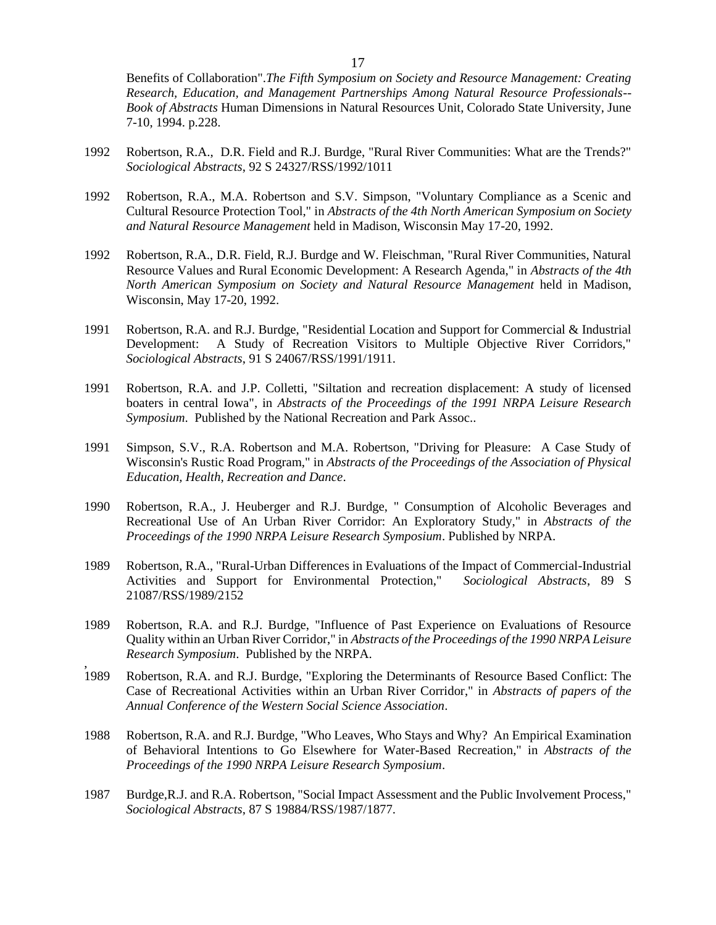Benefits of Collaboration".*The Fifth Symposium on Society and Resource Management: Creating Research, Education, and Management Partnerships Among Natural Resource Professionals-- Book of Abstracts* Human Dimensions in Natural Resources Unit, Colorado State University, June 7-10, 1994. p.228.

- 1992 Robertson, R.A., D.R. Field and R.J. Burdge, "Rural River Communities: What are the Trends?" *Sociological Abstracts*, 92 S 24327/RSS/1992/1011
- 1992 Robertson, R.A., M.A. Robertson and S.V. Simpson, "Voluntary Compliance as a Scenic and Cultural Resource Protection Tool," in *Abstracts of the 4th North American Symposium on Society and Natural Resource Management* held in Madison, Wisconsin May 17-20, 1992.
- 1992 Robertson, R.A., D.R. Field, R.J. Burdge and W. Fleischman, "Rural River Communities, Natural Resource Values and Rural Economic Development: A Research Agenda," in *Abstracts of the 4th North American Symposium on Society and Natural Resource Management* held in Madison, Wisconsin, May 17-20, 1992.
- 1991 Robertson, R.A. and R.J. Burdge, "Residential Location and Support for Commercial & Industrial Development: A Study of Recreation Visitors to Multiple Objective River Corridors," *Sociological Abstracts*, 91 S 24067/RSS/1991/1911.
- 1991 Robertson, R.A. and J.P. Colletti, "Siltation and recreation displacement: A study of licensed boaters in central Iowa", in *Abstracts of the Proceedings of the 1991 NRPA Leisure Research Symposium*. Published by the National Recreation and Park Assoc..
- 1991 Simpson, S.V., R.A. Robertson and M.A. Robertson, "Driving for Pleasure: A Case Study of Wisconsin's Rustic Road Program," in *Abstracts of the Proceedings of the Association of Physical Education, Health, Recreation and Dance*.
- 1990 Robertson, R.A., J. Heuberger and R.J. Burdge, " Consumption of Alcoholic Beverages and Recreational Use of An Urban River Corridor: An Exploratory Study," in *Abstracts of the Proceedings of the 1990 NRPA Leisure Research Symposium*. Published by NRPA.
- 1989 Robertson, R.A., "Rural-Urban Differences in Evaluations of the Impact of Commercial-Industrial Activities and Support for Environmental Protection," *Sociological Abstracts*, 89 S 21087/RSS/1989/2152
- 1989 Robertson, R.A. and R.J. Burdge, "Influence of Past Experience on Evaluations of Resource Quality within an Urban River Corridor," in *Abstracts of the Proceedings of the 1990 NRPA Leisure Research Symposium*. Published by the NRPA.
- 1989 1989 Robertson, R.A. and R.J. Burdge, "Exploring the Determinants of Resource Based Conflict: The Case of Recreational Activities within an Urban River Corridor," in *Abstracts of papers of the Annual Conference of the Western Social Science Association*.
- 1988 Robertson, R.A. and R.J. Burdge, "Who Leaves, Who Stays and Why? An Empirical Examination of Behavioral Intentions to Go Elsewhere for Water-Based Recreation," in *Abstracts of the Proceedings of the 1990 NRPA Leisure Research Symposium*.
- 1987 Burdge,R.J. and R.A. Robertson, "Social Impact Assessment and the Public Involvement Process," *Sociological Abstracts*, 87 S 19884/RSS/1987/1877.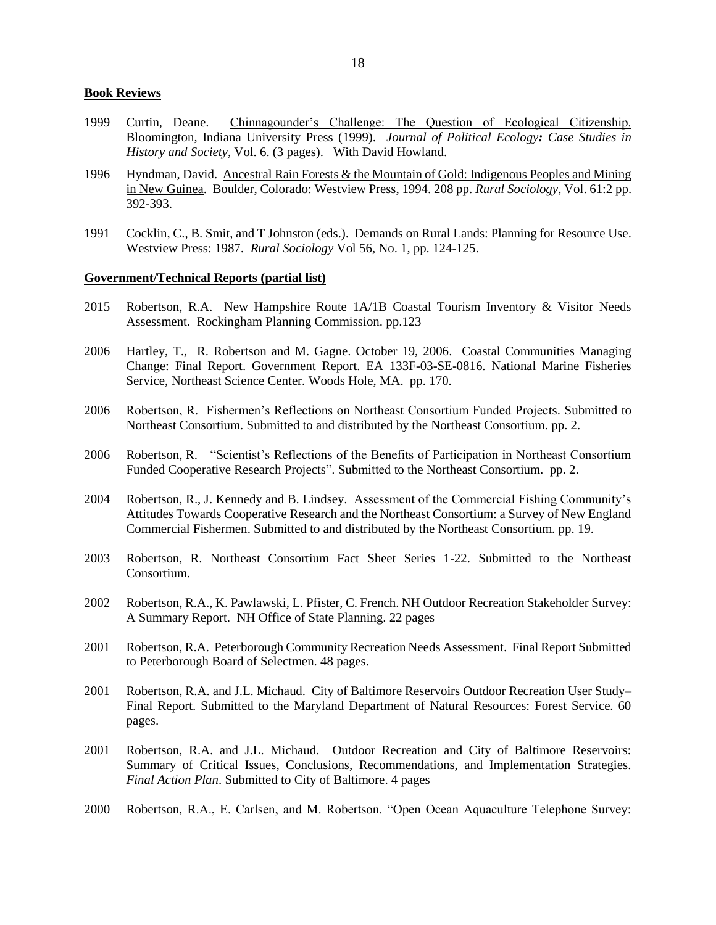### **Book Reviews**

- 1999 Curtin, Deane. Chinnagounder's Challenge: The Question of Ecological Citizenship. Bloomington, Indiana University Press (1999).*Journal of Political Ecology: Case Studies in History and Society*, Vol. 6. (3 pages). With David Howland.
- 1996 Hyndman, David. Ancestral Rain Forests & the Mountain of Gold: Indigenous Peoples and Mining in New Guinea. Boulder, Colorado: Westview Press, 1994. 208 pp. *Rural Sociology*, Vol. 61:2 pp. 392-393.
- 1991 Cocklin, C., B. Smit, and T Johnston (eds.). Demands on Rural Lands: Planning for Resource Use. Westview Press: 1987. *Rural Sociology* Vol 56, No. 1, pp. 124-125.

#### **Government/Technical Reports (partial list)**

- 2015 Robertson, R.A. New Hampshire Route 1A/1B Coastal Tourism Inventory & Visitor Needs Assessment. Rockingham Planning Commission. pp.123
- 2006 Hartley, T., R. Robertson and M. Gagne. October 19, 2006. Coastal Communities Managing Change: Final Report. Government Report. EA 133F-03-SE-0816. National Marine Fisheries Service, Northeast Science Center. Woods Hole, MA. pp. 170.
- 2006 Robertson, R. Fishermen's Reflections on Northeast Consortium Funded Projects. Submitted to Northeast Consortium. Submitted to and distributed by the Northeast Consortium. pp. 2.
- 2006 Robertson, R. "Scientist's Reflections of the Benefits of Participation in Northeast Consortium Funded Cooperative Research Projects". Submitted to the Northeast Consortium. pp. 2.
- 2004 Robertson, R., J. Kennedy and B. Lindsey. Assessment of the Commercial Fishing Community's Attitudes Towards Cooperative Research and the Northeast Consortium: a Survey of New England Commercial Fishermen. Submitted to and distributed by the Northeast Consortium. pp. 19.
- 2003 Robertson, R. Northeast Consortium Fact Sheet Series 1-22. Submitted to the Northeast Consortium.
- 2002 Robertson, R.A., K. Pawlawski, L. Pfister, C. French. NH Outdoor Recreation Stakeholder Survey: A Summary Report. NH Office of State Planning. 22 pages
- 2001 Robertson, R.A. Peterborough Community Recreation Needs Assessment. Final Report Submitted to Peterborough Board of Selectmen. 48 pages.
- 2001 Robertson, R.A. and J.L. Michaud. City of Baltimore Reservoirs Outdoor Recreation User Study– Final Report. Submitted to the Maryland Department of Natural Resources: Forest Service. 60 pages.
- 2001 Robertson, R.A. and J.L. Michaud. Outdoor Recreation and City of Baltimore Reservoirs: Summary of Critical Issues, Conclusions, Recommendations, and Implementation Strategies. *Final Action Plan*. Submitted to City of Baltimore. 4 pages
- 2000 Robertson, R.A., E. Carlsen, and M. Robertson. "Open Ocean Aquaculture Telephone Survey: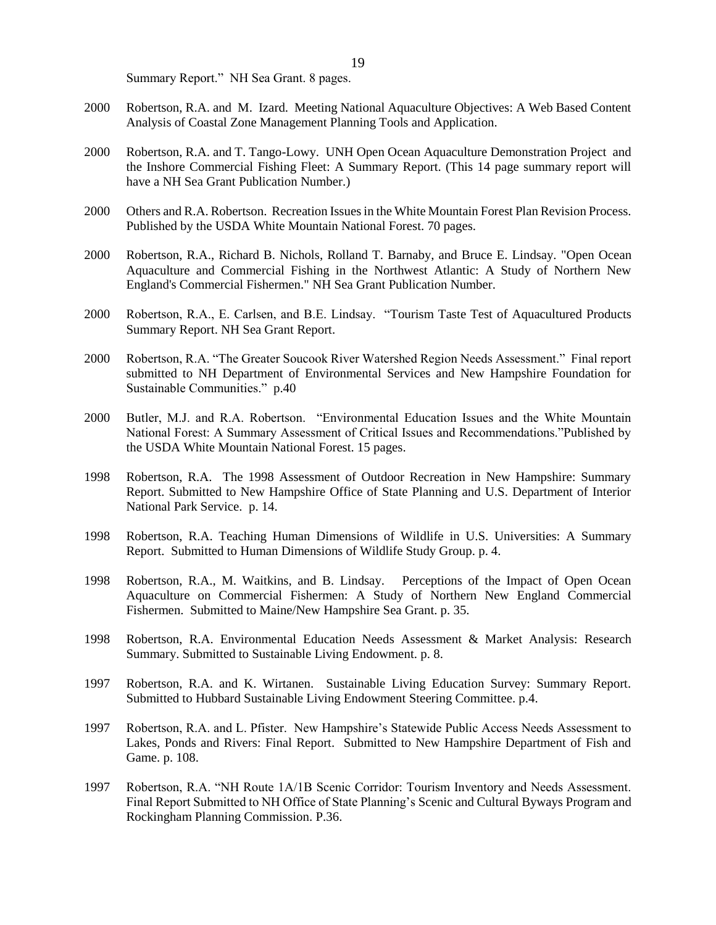Summary Report." NH Sea Grant. 8 pages.

- 2000 Robertson, R.A. and M. Izard. Meeting National Aquaculture Objectives: A Web Based Content Analysis of Coastal Zone Management Planning Tools and Application.
- 2000 Robertson, R.A. and T. Tango-Lowy. UNH Open Ocean Aquaculture Demonstration Project and the Inshore Commercial Fishing Fleet: A Summary Report. (This 14 page summary report will have a NH Sea Grant Publication Number.)
- 2000 Others and R.A. Robertson. Recreation Issues in the White Mountain Forest Plan Revision Process. Published by the USDA White Mountain National Forest. 70 pages.
- 2000 Robertson, R.A., Richard B. Nichols, Rolland T. Barnaby, and Bruce E. Lindsay. "Open Ocean Aquaculture and Commercial Fishing in the Northwest Atlantic: A Study of Northern New England's Commercial Fishermen." NH Sea Grant Publication Number.
- 2000 Robertson, R.A., E. Carlsen, and B.E. Lindsay. "Tourism Taste Test of Aquacultured Products Summary Report. NH Sea Grant Report.
- 2000 Robertson, R.A. "The Greater Soucook River Watershed Region Needs Assessment." Final report submitted to NH Department of Environmental Services and New Hampshire Foundation for Sustainable Communities." p.40
- 2000 Butler, M.J. and R.A. Robertson. "Environmental Education Issues and the White Mountain National Forest: A Summary Assessment of Critical Issues and Recommendations."Published by the USDA White Mountain National Forest. 15 pages.
- 1998 Robertson, R.A. The 1998 Assessment of Outdoor Recreation in New Hampshire: Summary Report. Submitted to New Hampshire Office of State Planning and U.S. Department of Interior National Park Service. p. 14.
- 1998 Robertson, R.A. Teaching Human Dimensions of Wildlife in U.S. Universities: A Summary Report. Submitted to Human Dimensions of Wildlife Study Group. p. 4.
- 1998 Robertson, R.A., M. Waitkins, and B. Lindsay. Perceptions of the Impact of Open Ocean Aquaculture on Commercial Fishermen: A Study of Northern New England Commercial Fishermen. Submitted to Maine/New Hampshire Sea Grant. p. 35.
- 1998 Robertson, R.A. Environmental Education Needs Assessment & Market Analysis: Research Summary. Submitted to Sustainable Living Endowment. p. 8.
- 1997 Robertson, R.A. and K. Wirtanen. Sustainable Living Education Survey: Summary Report. Submitted to Hubbard Sustainable Living Endowment Steering Committee. p.4.
- 1997 Robertson, R.A. and L. Pfister. New Hampshire's Statewide Public Access Needs Assessment to Lakes, Ponds and Rivers: Final Report. Submitted to New Hampshire Department of Fish and Game. p. 108.
- 1997 Robertson, R.A. "NH Route 1A/1B Scenic Corridor: Tourism Inventory and Needs Assessment. Final Report Submitted to NH Office of State Planning's Scenic and Cultural Byways Program and Rockingham Planning Commission. P.36.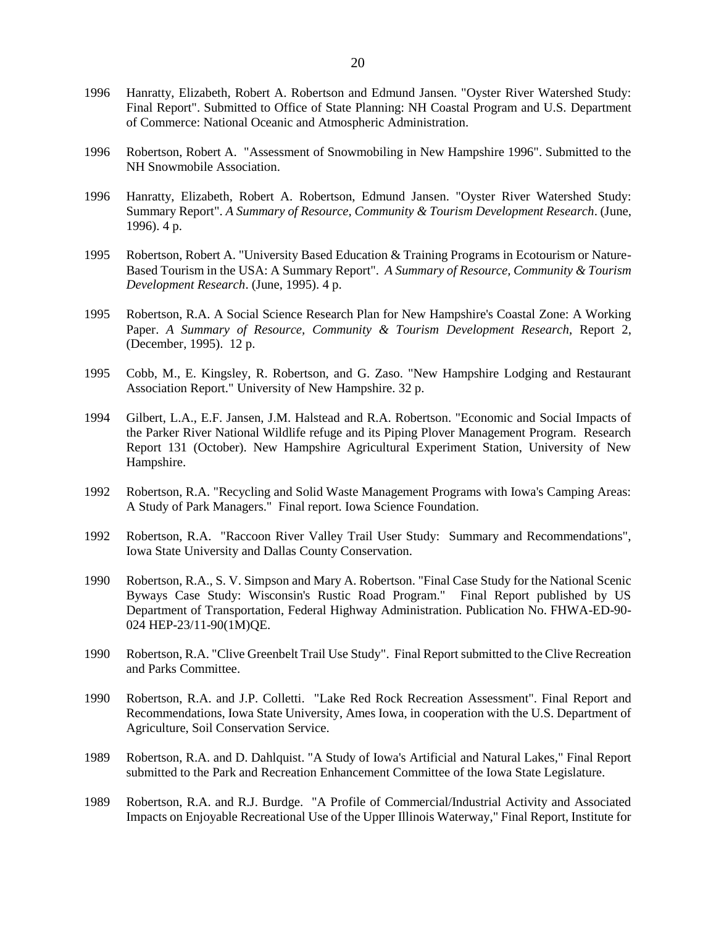- 1996 Hanratty, Elizabeth, Robert A. Robertson and Edmund Jansen. "Oyster River Watershed Study: Final Report". Submitted to Office of State Planning: NH Coastal Program and U.S. Department of Commerce: National Oceanic and Atmospheric Administration.
- 1996 Robertson, Robert A. "Assessment of Snowmobiling in New Hampshire 1996". Submitted to the NH Snowmobile Association.
- 1996 Hanratty, Elizabeth, Robert A. Robertson, Edmund Jansen. "Oyster River Watershed Study: Summary Report". *A Summary of Resource, Community & Tourism Development Research*. (June, 1996). 4 p.
- 1995 Robertson, Robert A. "University Based Education & Training Programs in Ecotourism or Nature-Based Tourism in the USA: A Summary Report". *A Summary of Resource, Community & Tourism Development Research*. (June, 1995). 4 p.
- 1995 Robertson, R.A. A Social Science Research Plan for New Hampshire's Coastal Zone: A Working Paper. *A Summary of Resource, Community & Tourism Development Research*, Report 2, (December, 1995). 12 p.
- 1995 Cobb, M., E. Kingsley, R. Robertson, and G. Zaso. "New Hampshire Lodging and Restaurant Association Report." University of New Hampshire. 32 p.
- 1994 Gilbert, L.A., E.F. Jansen, J.M. Halstead and R.A. Robertson. "Economic and Social Impacts of the Parker River National Wildlife refuge and its Piping Plover Management Program. Research Report 131 (October). New Hampshire Agricultural Experiment Station, University of New Hampshire.
- 1992 Robertson, R.A. "Recycling and Solid Waste Management Programs with Iowa's Camping Areas: A Study of Park Managers." Final report. Iowa Science Foundation.
- 1992 Robertson, R.A. "Raccoon River Valley Trail User Study: Summary and Recommendations", Iowa State University and Dallas County Conservation.
- 1990 Robertson, R.A., S. V. Simpson and Mary A. Robertson. "Final Case Study for the National Scenic Byways Case Study: Wisconsin's Rustic Road Program." Final Report published by US Department of Transportation, Federal Highway Administration. Publication No. FHWA-ED-90- 024 HEP-23/11-90(1M)QE.
- 1990 Robertson, R.A. "Clive Greenbelt Trail Use Study". Final Report submitted to the Clive Recreation and Parks Committee.
- 1990 Robertson, R.A. and J.P. Colletti. "Lake Red Rock Recreation Assessment". Final Report and Recommendations, Iowa State University, Ames Iowa, in cooperation with the U.S. Department of Agriculture, Soil Conservation Service.
- 1989 Robertson, R.A. and D. Dahlquist. "A Study of Iowa's Artificial and Natural Lakes," Final Report submitted to the Park and Recreation Enhancement Committee of the Iowa State Legislature.
- 1989 Robertson, R.A. and R.J. Burdge. "A Profile of Commercial/Industrial Activity and Associated Impacts on Enjoyable Recreational Use of the Upper Illinois Waterway," Final Report, Institute for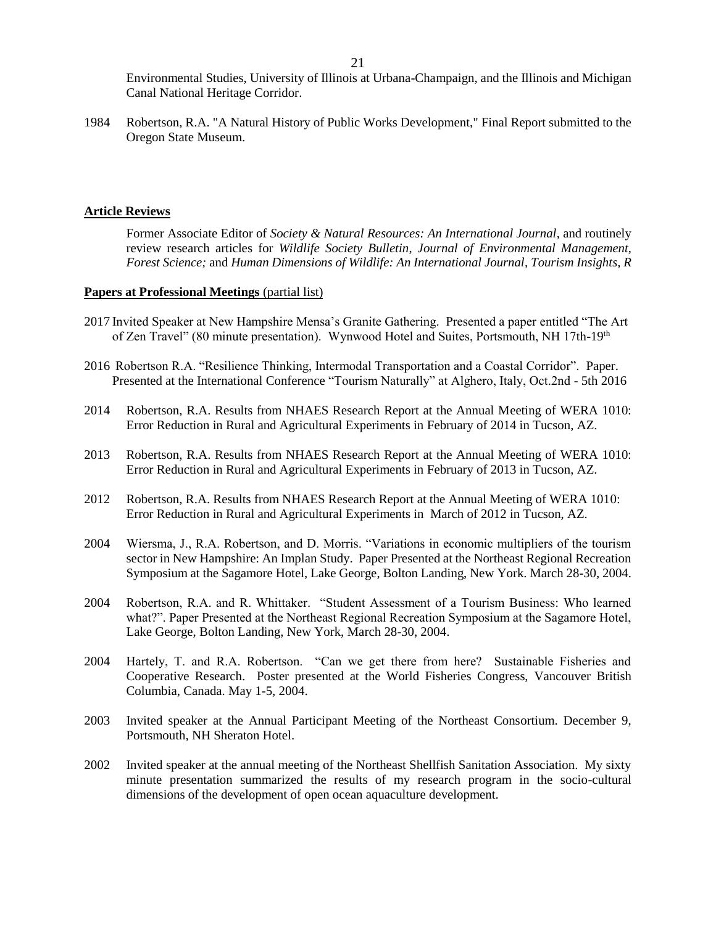Environmental Studies, University of Illinois at Urbana-Champaign, and the Illinois and Michigan Canal National Heritage Corridor.

1984 Robertson, R.A. "A Natural History of Public Works Development," Final Report submitted to the Oregon State Museum.

### **Article Reviews**

Former Associate Editor of *Society & Natural Resources: An International Journal*, and routinely review research articles for *Wildlife Society Bulletin*, *Journal of Environmental Management, Forest Science;* and *Human Dimensions of Wildlife: An International Journal, Tourism Insights, R*

#### **Papers at Professional Meetings** (partial list)

- 2017 Invited Speaker at New Hampshire Mensa's Granite Gathering. Presented a paper entitled "The Art of Zen Travel" (80 minute presentation). Wynwood Hotel and Suites, Portsmouth, NH 17th-19th
- 2016 Robertson R.A. "Resilience Thinking, Intermodal Transportation and a Coastal Corridor". Paper. Presented at the International Conference "Tourism Naturally" at Alghero, Italy, Oct.2nd - 5th 2016
- 2014 Robertson, R.A. Results from NHAES Research Report at the Annual Meeting of WERA 1010: Error Reduction in Rural and Agricultural Experiments in February of 2014 in Tucson, AZ.
- 2013 Robertson, R.A. Results from NHAES Research Report at the Annual Meeting of WERA 1010: Error Reduction in Rural and Agricultural Experiments in February of 2013 in Tucson, AZ.
- 2012 Robertson, R.A. Results from NHAES Research Report at the Annual Meeting of WERA 1010: Error Reduction in Rural and Agricultural Experiments in March of 2012 in Tucson, AZ.
- 2004 Wiersma, J., R.A. Robertson, and D. Morris. "Variations in economic multipliers of the tourism sector in New Hampshire: An Implan Study. Paper Presented at the Northeast Regional Recreation Symposium at the Sagamore Hotel, Lake George, Bolton Landing, New York. March 28-30, 2004.
- 2004 Robertson, R.A. and R. Whittaker. "Student Assessment of a Tourism Business: Who learned what?". Paper Presented at the Northeast Regional Recreation Symposium at the Sagamore Hotel, Lake George, Bolton Landing, New York, March 28-30, 2004.
- 2004 Hartely, T. and R.A. Robertson. "Can we get there from here? Sustainable Fisheries and Cooperative Research. Poster presented at the World Fisheries Congress, Vancouver British Columbia, Canada. May 1-5, 2004.
- 2003 Invited speaker at the Annual Participant Meeting of the Northeast Consortium. December 9, Portsmouth, NH Sheraton Hotel.
- 2002 Invited speaker at the annual meeting of the Northeast Shellfish Sanitation Association. My sixty minute presentation summarized the results of my research program in the socio-cultural dimensions of the development of open ocean aquaculture development.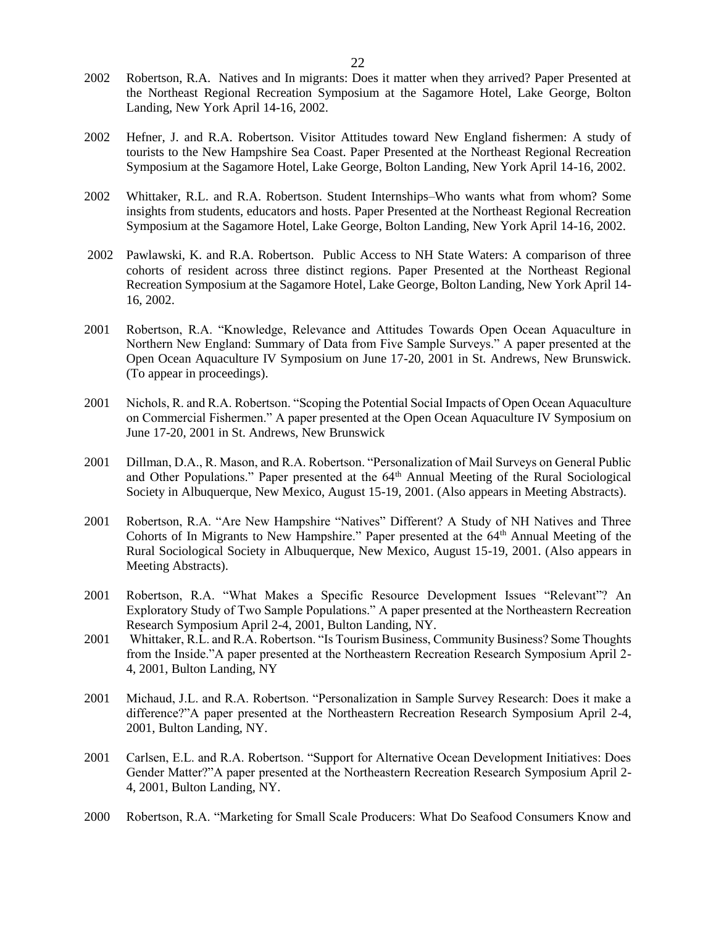- 2002 Robertson, R.A. Natives and In migrants: Does it matter when they arrived? Paper Presented at the Northeast Regional Recreation Symposium at the Sagamore Hotel, Lake George, Bolton Landing, New York April 14-16, 2002.
- 2002 Hefner, J. and R.A. Robertson. Visitor Attitudes toward New England fishermen: A study of tourists to the New Hampshire Sea Coast. Paper Presented at the Northeast Regional Recreation Symposium at the Sagamore Hotel, Lake George, Bolton Landing, New York April 14-16, 2002.
- 2002 Whittaker, R.L. and R.A. Robertson. Student Internships–Who wants what from whom? Some insights from students, educators and hosts. Paper Presented at the Northeast Regional Recreation Symposium at the Sagamore Hotel, Lake George, Bolton Landing, New York April 14-16, 2002.
- 2002 Pawlawski, K. and R.A. Robertson. Public Access to NH State Waters: A comparison of three cohorts of resident across three distinct regions. Paper Presented at the Northeast Regional Recreation Symposium at the Sagamore Hotel, Lake George, Bolton Landing, New York April 14- 16, 2002.
- 2001 Robertson, R.A. "Knowledge, Relevance and Attitudes Towards Open Ocean Aquaculture in Northern New England: Summary of Data from Five Sample Surveys." A paper presented at the Open Ocean Aquaculture IV Symposium on June 17-20, 2001 in St. Andrews, New Brunswick. (To appear in proceedings).
- 2001 Nichols, R. and R.A. Robertson. "Scoping the Potential Social Impacts of Open Ocean Aquaculture on Commercial Fishermen." A paper presented at the Open Ocean Aquaculture IV Symposium on June 17-20, 2001 in St. Andrews, New Brunswick
- 2001 Dillman, D.A., R. Mason, and R.A. Robertson. "Personalization of Mail Surveys on General Public and Other Populations." Paper presented at the 64<sup>th</sup> Annual Meeting of the Rural Sociological Society in Albuquerque, New Mexico, August 15-19, 2001. (Also appears in Meeting Abstracts).
- 2001 Robertson, R.A. "Are New Hampshire "Natives" Different? A Study of NH Natives and Three Cohorts of In Migrants to New Hampshire." Paper presented at the 64<sup>th</sup> Annual Meeting of the Rural Sociological Society in Albuquerque, New Mexico, August 15-19, 2001. (Also appears in Meeting Abstracts).
- 2001 Robertson, R.A. "What Makes a Specific Resource Development Issues "Relevant"? An Exploratory Study of Two Sample Populations." A paper presented at the Northeastern Recreation Research Symposium April 2-4, 2001, Bulton Landing, NY.
- 2001 Whittaker, R.L. and R.A. Robertson. "Is Tourism Business, Community Business? Some Thoughts from the Inside."A paper presented at the Northeastern Recreation Research Symposium April 2- 4, 2001, Bulton Landing, NY
- 2001 Michaud, J.L. and R.A. Robertson. "Personalization in Sample Survey Research: Does it make a difference?"A paper presented at the Northeastern Recreation Research Symposium April 2-4, 2001, Bulton Landing, NY.
- 2001 Carlsen, E.L. and R.A. Robertson. "Support for Alternative Ocean Development Initiatives: Does Gender Matter?"A paper presented at the Northeastern Recreation Research Symposium April 2- 4, 2001, Bulton Landing, NY.
- 2000 Robertson, R.A. "Marketing for Small Scale Producers: What Do Seafood Consumers Know and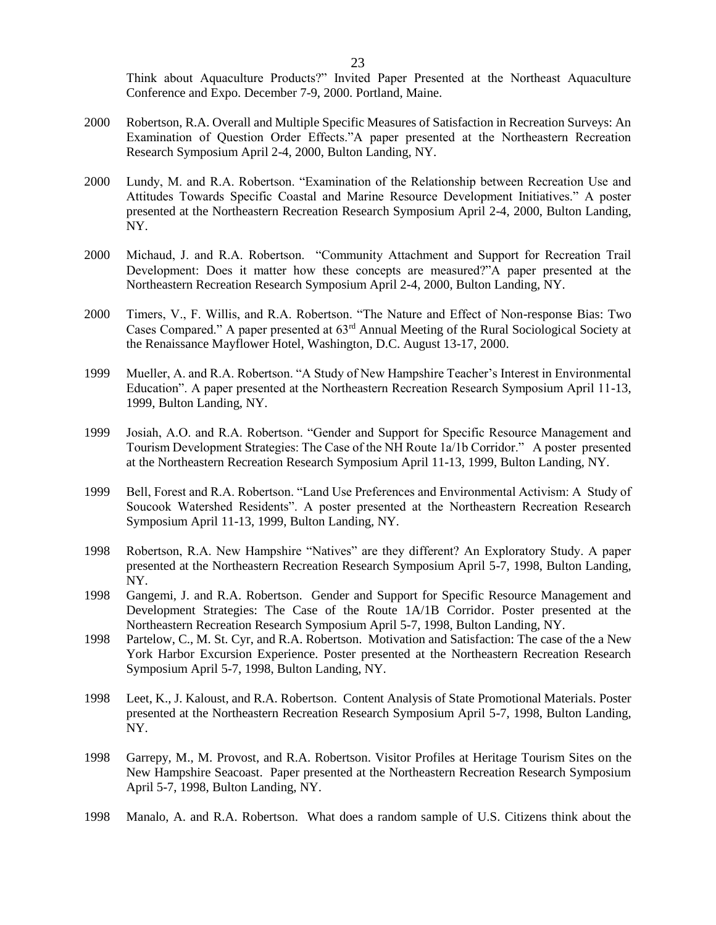Think about Aquaculture Products?" Invited Paper Presented at the Northeast Aquaculture Conference and Expo. December 7-9, 2000. Portland, Maine.

- 2000 Robertson, R.A. Overall and Multiple Specific Measures of Satisfaction in Recreation Surveys: An Examination of Question Order Effects."A paper presented at the Northeastern Recreation Research Symposium April 2-4, 2000, Bulton Landing, NY.
- 2000 Lundy, M. and R.A. Robertson. "Examination of the Relationship between Recreation Use and Attitudes Towards Specific Coastal and Marine Resource Development Initiatives." A poster presented at the Northeastern Recreation Research Symposium April 2-4, 2000, Bulton Landing, NY.
- 2000 Michaud, J. and R.A. Robertson. "Community Attachment and Support for Recreation Trail Development: Does it matter how these concepts are measured?"A paper presented at the Northeastern Recreation Research Symposium April 2-4, 2000, Bulton Landing, NY.
- 2000 Timers, V., F. Willis, and R.A. Robertson. "The Nature and Effect of Non-response Bias: Two Cases Compared." A paper presented at 63rd Annual Meeting of the Rural Sociological Society at the Renaissance Mayflower Hotel, Washington, D.C. August 13-17, 2000.
- 1999 Mueller, A. and R.A. Robertson. "A Study of New Hampshire Teacher's Interest in Environmental Education". A paper presented at the Northeastern Recreation Research Symposium April 11-13, 1999, Bulton Landing, NY.
- 1999 Josiah, A.O. and R.A. Robertson. "Gender and Support for Specific Resource Management and Tourism Development Strategies: The Case of the NH Route 1a/1b Corridor." A poster presented at the Northeastern Recreation Research Symposium April 11-13, 1999, Bulton Landing, NY.
- 1999 Bell, Forest and R.A. Robertson. "Land Use Preferences and Environmental Activism: A Study of Soucook Watershed Residents". A poster presented at the Northeastern Recreation Research Symposium April 11-13, 1999, Bulton Landing, NY.
- 1998 Robertson, R.A. New Hampshire "Natives" are they different? An Exploratory Study. A paper presented at the Northeastern Recreation Research Symposium April 5-7, 1998, Bulton Landing, NY.
- 1998 Gangemi, J. and R.A. Robertson. Gender and Support for Specific Resource Management and Development Strategies: The Case of the Route 1A/1B Corridor. Poster presented at the Northeastern Recreation Research Symposium April 5-7, 1998, Bulton Landing, NY.
- 1998 Partelow, C., M. St. Cyr, and R.A. Robertson. Motivation and Satisfaction: The case of the a New York Harbor Excursion Experience. Poster presented at the Northeastern Recreation Research Symposium April 5-7, 1998, Bulton Landing, NY.
- 1998 Leet, K., J. Kaloust, and R.A. Robertson. Content Analysis of State Promotional Materials. Poster presented at the Northeastern Recreation Research Symposium April 5-7, 1998, Bulton Landing, NY.
- 1998 Garrepy, M., M. Provost, and R.A. Robertson. Visitor Profiles at Heritage Tourism Sites on the New Hampshire Seacoast. Paper presented at the Northeastern Recreation Research Symposium April 5-7, 1998, Bulton Landing, NY.
- 1998 Manalo, A. and R.A. Robertson. What does a random sample of U.S. Citizens think about the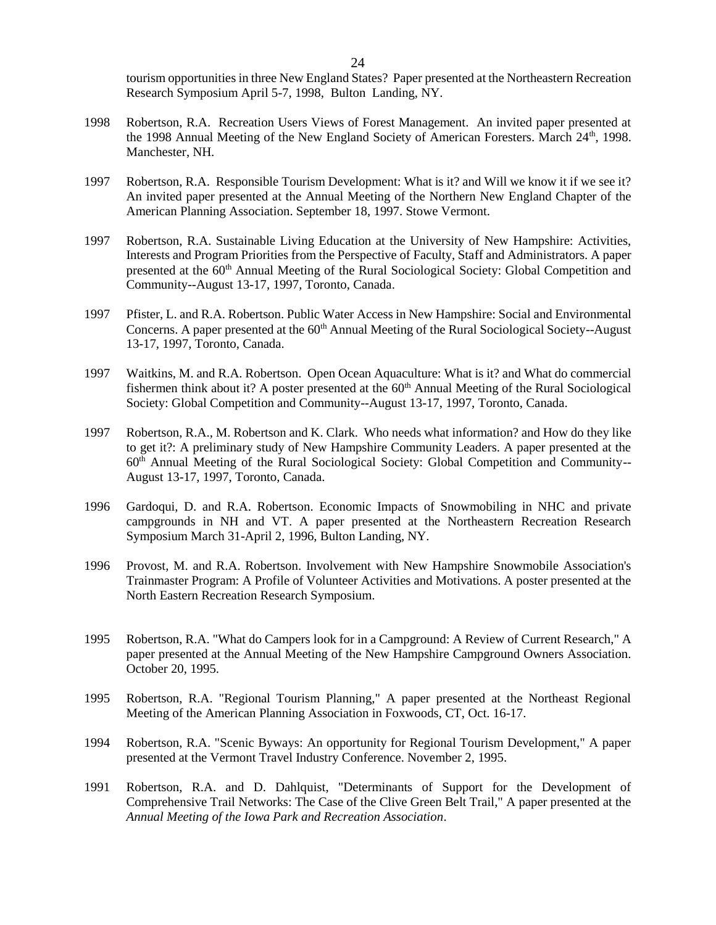tourism opportunities in three New England States? Paper presented at the Northeastern Recreation Research Symposium April 5-7, 1998, Bulton Landing, NY.

- 1998 Robertson, R.A. Recreation Users Views of Forest Management. An invited paper presented at the 1998 Annual Meeting of the New England Society of American Foresters. March 24<sup>th</sup>, 1998. Manchester, NH.
- 1997 Robertson, R.A. Responsible Tourism Development: What is it? and Will we know it if we see it? An invited paper presented at the Annual Meeting of the Northern New England Chapter of the American Planning Association. September 18, 1997. Stowe Vermont.
- 1997 Robertson, R.A. Sustainable Living Education at the University of New Hampshire: Activities, Interests and Program Priorities from the Perspective of Faculty, Staff and Administrators. A paper presented at the 60<sup>th</sup> Annual Meeting of the Rural Sociological Society: Global Competition and Community--August 13-17, 1997, Toronto, Canada.
- 1997 Pfister, L. and R.A. Robertson. Public Water Access in New Hampshire: Social and Environmental Concerns. A paper presented at the 60<sup>th</sup> Annual Meeting of the Rural Sociological Society--August 13-17, 1997, Toronto, Canada.
- 1997 Waitkins, M. and R.A. Robertson. Open Ocean Aquaculture: What is it? and What do commercial fishermen think about it? A poster presented at the  $60<sup>th</sup>$  Annual Meeting of the Rural Sociological Society: Global Competition and Community--August 13-17, 1997, Toronto, Canada.
- 1997 Robertson, R.A., M. Robertson and K. Clark. Who needs what information? and How do they like to get it?: A preliminary study of New Hampshire Community Leaders. A paper presented at the 60th Annual Meeting of the Rural Sociological Society: Global Competition and Community-- August 13-17, 1997, Toronto, Canada.
- 1996 Gardoqui, D. and R.A. Robertson. Economic Impacts of Snowmobiling in NHC and private campgrounds in NH and VT. A paper presented at the Northeastern Recreation Research Symposium March 31-April 2, 1996, Bulton Landing, NY.
- 1996 Provost, M. and R.A. Robertson. Involvement with New Hampshire Snowmobile Association's Trainmaster Program: A Profile of Volunteer Activities and Motivations. A poster presented at the North Eastern Recreation Research Symposium.
- 1995 Robertson, R.A. "What do Campers look for in a Campground: A Review of Current Research," A paper presented at the Annual Meeting of the New Hampshire Campground Owners Association. October 20, 1995.
- 1995 Robertson, R.A. "Regional Tourism Planning," A paper presented at the Northeast Regional Meeting of the American Planning Association in Foxwoods, CT, Oct. 16-17.
- 1994 Robertson, R.A. "Scenic Byways: An opportunity for Regional Tourism Development," A paper presented at the Vermont Travel Industry Conference. November 2, 1995.
- 1991 Robertson, R.A. and D. Dahlquist, "Determinants of Support for the Development of Comprehensive Trail Networks: The Case of the Clive Green Belt Trail," A paper presented at the *Annual Meeting of the Iowa Park and Recreation Association*.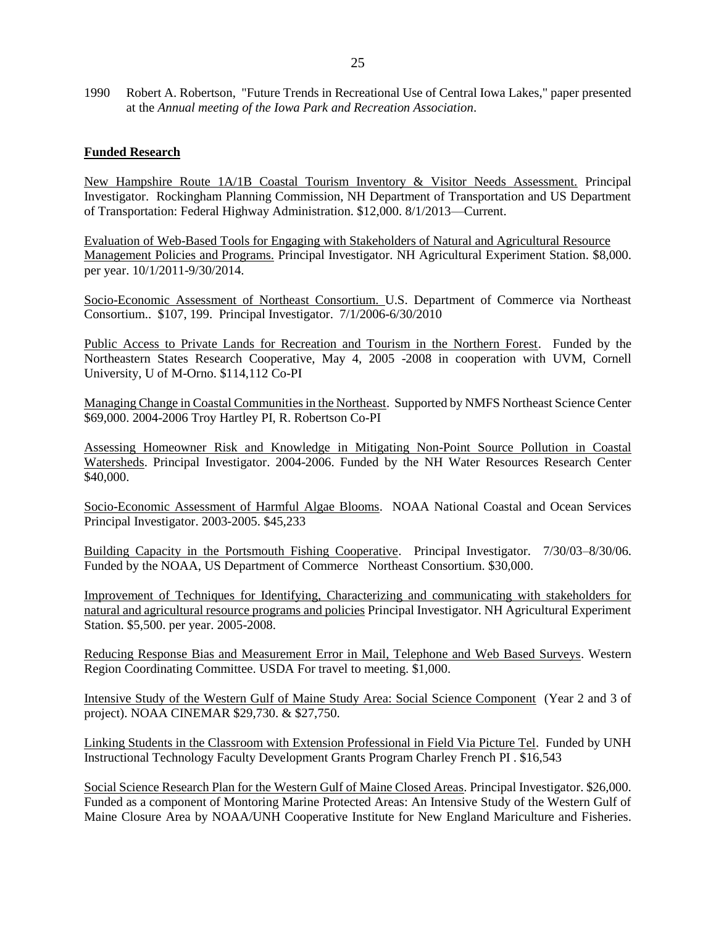1990 Robert A. Robertson, "Future Trends in Recreational Use of Central Iowa Lakes," paper presented at the *Annual meeting of the Iowa Park and Recreation Association*.

#### **Funded Research**

New Hampshire Route 1A/1B Coastal Tourism Inventory & Visitor Needs Assessment. Principal Investigator. Rockingham Planning Commission, NH Department of Transportation and US Department of Transportation: Federal Highway Administration. \$12,000. 8/1/2013—Current.

Evaluation of Web-Based Tools for Engaging with Stakeholders of Natural and Agricultural Resource Management Policies and Programs. Principal Investigator. NH Agricultural Experiment Station. \$8,000. per year. 10/1/2011-9/30/2014.

Socio-Economic Assessment of Northeast Consortium. U.S. Department of Commerce via Northeast Consortium.. \$107, 199. Principal Investigator. 7/1/2006-6/30/2010

Public Access to Private Lands for Recreation and Tourism in the Northern Forest. Funded by the Northeastern States Research Cooperative, May 4, 2005 -2008 in cooperation with UVM, Cornell University, U of M-Orno. \$114,112 Co-PI

Managing Change in Coastal Communities in the Northeast. Supported by NMFS Northeast Science Center \$69,000. 2004-2006 Troy Hartley PI, R. Robertson Co-PI

Assessing Homeowner Risk and Knowledge in Mitigating Non-Point Source Pollution in Coastal Watersheds. Principal Investigator. 2004-2006. Funded by the NH Water Resources Research Center \$40,000.

Socio-Economic Assessment of Harmful Algae Blooms. NOAA National Coastal and Ocean Services Principal Investigator. 2003-2005. \$45,233

Building Capacity in the Portsmouth Fishing Cooperative. Principal Investigator. 7/30/03–8/30/06. Funded by the NOAA, US Department of Commerce Northeast Consortium. \$30,000.

Improvement of Techniques for Identifying, Characterizing and communicating with stakeholders for natural and agricultural resource programs and policies Principal Investigator. NH Agricultural Experiment Station. \$5,500. per year. 2005-2008.

Reducing Response Bias and Measurement Error in Mail, Telephone and Web Based Surveys. Western Region Coordinating Committee. USDA For travel to meeting. \$1,000.

Intensive Study of the Western Gulf of Maine Study Area: Social Science Component (Year 2 and 3 of project). NOAA CINEMAR \$29,730. & \$27,750.

Linking Students in the Classroom with Extension Professional in Field Via Picture Tel. Funded by UNH Instructional Technology Faculty Development Grants Program Charley French PI . \$16,543

Social Science Research Plan for the Western Gulf of Maine Closed Areas. Principal Investigator. \$26,000. Funded as a component of Montoring Marine Protected Areas: An Intensive Study of the Western Gulf of Maine Closure Area by NOAA/UNH Cooperative Institute for New England Mariculture and Fisheries.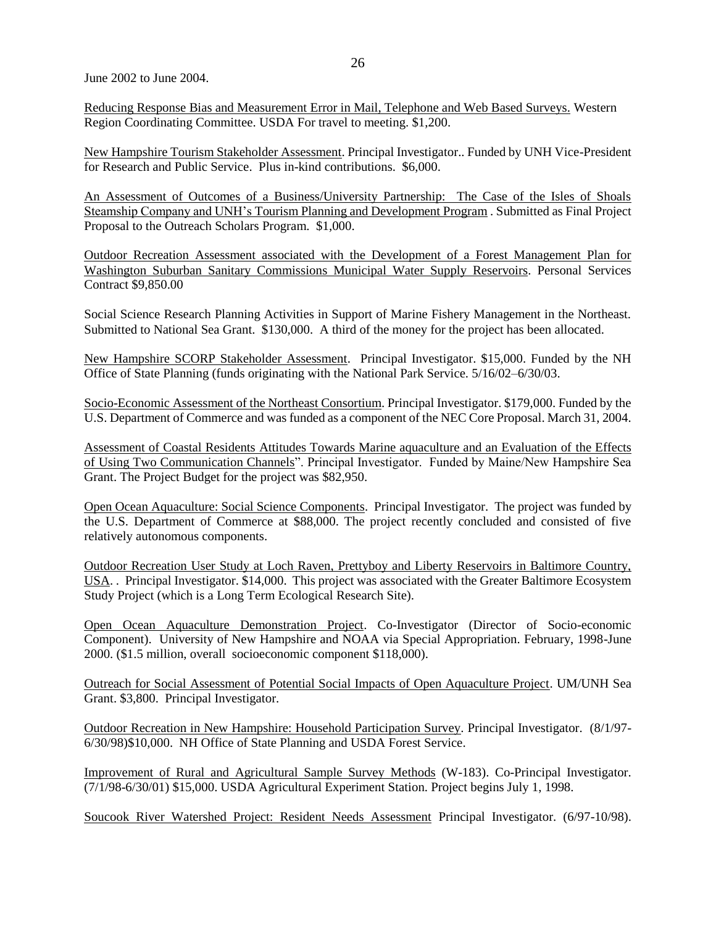June 2002 to June 2004.

Reducing Response Bias and Measurement Error in Mail, Telephone and Web Based Surveys. Western Region Coordinating Committee. USDA For travel to meeting. \$1,200.

New Hampshire Tourism Stakeholder Assessment. Principal Investigator.. Funded by UNH Vice-President for Research and Public Service. Plus in-kind contributions. \$6,000.

An Assessment of Outcomes of a Business/University Partnership: The Case of the Isles of Shoals Steamship Company and UNH's Tourism Planning and Development Program . Submitted as Final Project Proposal to the Outreach Scholars Program. \$1,000.

Outdoor Recreation Assessment associated with the Development of a Forest Management Plan for Washington Suburban Sanitary Commissions Municipal Water Supply Reservoirs. Personal Services Contract \$9,850.00

Social Science Research Planning Activities in Support of Marine Fishery Management in the Northeast. Submitted to National Sea Grant. \$130,000. A third of the money for the project has been allocated.

New Hampshire SCORP Stakeholder Assessment. Principal Investigator. \$15,000. Funded by the NH Office of State Planning (funds originating with the National Park Service. 5/16/02–6/30/03.

Socio-Economic Assessment of the Northeast Consortium. Principal Investigator. \$179,000. Funded by the U.S. Department of Commerce and was funded as a component of the NEC Core Proposal. March 31, 2004.

Assessment of Coastal Residents Attitudes Towards Marine aquaculture and an Evaluation of the Effects of Using Two Communication Channels". Principal Investigator. Funded by Maine/New Hampshire Sea Grant. The Project Budget for the project was \$82,950.

Open Ocean Aquaculture: Social Science Components. Principal Investigator. The project was funded by the U.S. Department of Commerce at \$88,000. The project recently concluded and consisted of five relatively autonomous components.

Outdoor Recreation User Study at Loch Raven, Prettyboy and Liberty Reservoirs in Baltimore Country, USA. . Principal Investigator. \$14,000. This project was associated with the Greater Baltimore Ecosystem Study Project (which is a Long Term Ecological Research Site).

Open Ocean Aquaculture Demonstration Project. Co-Investigator (Director of Socio-economic Component). University of New Hampshire and NOAA via Special Appropriation. February, 1998-June 2000. (\$1.5 million, overall socioeconomic component \$118,000).

Outreach for Social Assessment of Potential Social Impacts of Open Aquaculture Project. UM/UNH Sea Grant. \$3,800. Principal Investigator.

Outdoor Recreation in New Hampshire: Household Participation Survey. Principal Investigator. (8/1/97- 6/30/98)\$10,000. NH Office of State Planning and USDA Forest Service.

Improvement of Rural and Agricultural Sample Survey Methods (W-183). Co-Principal Investigator. (7/1/98-6/30/01) \$15,000. USDA Agricultural Experiment Station. Project begins July 1, 1998.

Soucook River Watershed Project: Resident Needs Assessment Principal Investigator. (6/97-10/98).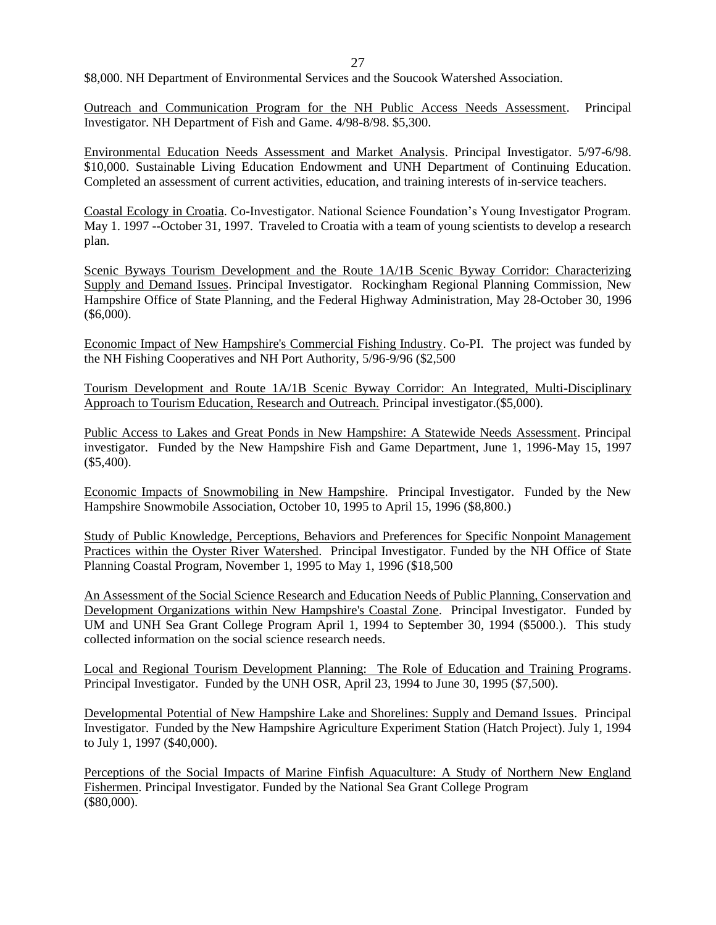27

\$8,000. NH Department of Environmental Services and the Soucook Watershed Association.

Outreach and Communication Program for the NH Public Access Needs Assessment. Principal Investigator. NH Department of Fish and Game. 4/98-8/98. \$5,300.

Environmental Education Needs Assessment and Market Analysis. Principal Investigator. 5/97-6/98. \$10,000. Sustainable Living Education Endowment and UNH Department of Continuing Education. Completed an assessment of current activities, education, and training interests of in-service teachers.

Coastal Ecology in Croatia. Co-Investigator. National Science Foundation's Young Investigator Program. May 1. 1997 --October 31, 1997. Traveled to Croatia with a team of young scientists to develop a research plan.

Scenic Byways Tourism Development and the Route 1A/1B Scenic Byway Corridor: Characterizing Supply and Demand Issues. Principal Investigator. Rockingham Regional Planning Commission, New Hampshire Office of State Planning, and the Federal Highway Administration, May 28-October 30, 1996 (\$6,000).

Economic Impact of New Hampshire's Commercial Fishing Industry. Co-PI. The project was funded by the NH Fishing Cooperatives and NH Port Authority, 5/96-9/96 (\$2,500

Tourism Development and Route 1A/1B Scenic Byway Corridor: An Integrated, Multi-Disciplinary Approach to Tourism Education, Research and Outreach. Principal investigator.(\$5,000).

Public Access to Lakes and Great Ponds in New Hampshire: A Statewide Needs Assessment. Principal investigator. Funded by the New Hampshire Fish and Game Department, June 1, 1996-May 15, 1997 (\$5,400).

Economic Impacts of Snowmobiling in New Hampshire. Principal Investigator. Funded by the New Hampshire Snowmobile Association, October 10, 1995 to April 15, 1996 (\$8,800.)

Study of Public Knowledge, Perceptions, Behaviors and Preferences for Specific Nonpoint Management Practices within the Oyster River Watershed. Principal Investigator. Funded by the NH Office of State Planning Coastal Program, November 1, 1995 to May 1, 1996 (\$18,500

An Assessment of the Social Science Research and Education Needs of Public Planning, Conservation and Development Organizations within New Hampshire's Coastal Zone. Principal Investigator. Funded by UM and UNH Sea Grant College Program April 1, 1994 to September 30, 1994 (\$5000.). This study collected information on the social science research needs.

Local and Regional Tourism Development Planning: The Role of Education and Training Programs. Principal Investigator. Funded by the UNH OSR, April 23, 1994 to June 30, 1995 (\$7,500).

Developmental Potential of New Hampshire Lake and Shorelines: Supply and Demand Issues. Principal Investigator. Funded by the New Hampshire Agriculture Experiment Station (Hatch Project). July 1, 1994 to July 1, 1997 (\$40,000).

Perceptions of the Social Impacts of Marine Finfish Aquaculture: A Study of Northern New England Fishermen. Principal Investigator. Funded by the National Sea Grant College Program (\$80,000).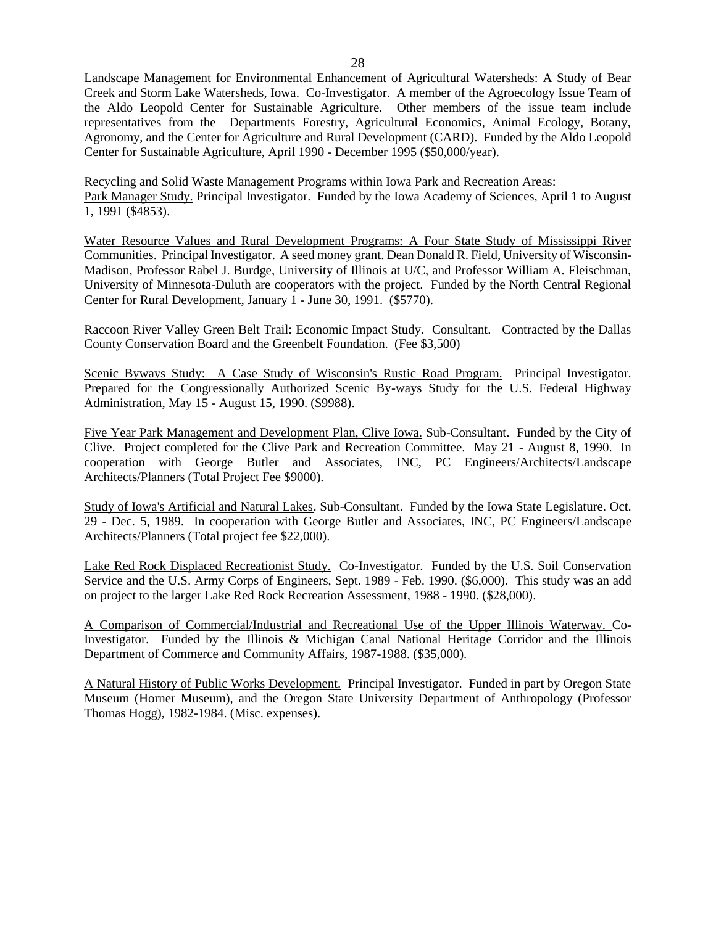28

Landscape Management for Environmental Enhancement of Agricultural Watersheds: A Study of Bear Creek and Storm Lake Watersheds, Iowa. Co-Investigator. A member of the Agroecology Issue Team of the Aldo Leopold Center for Sustainable Agriculture. Other members of the issue team include representatives from the Departments Forestry, Agricultural Economics, Animal Ecology, Botany, Agronomy, and the Center for Agriculture and Rural Development (CARD). Funded by the Aldo Leopold Center for Sustainable Agriculture, April 1990 - December 1995 (\$50,000/year).

Recycling and Solid Waste Management Programs within Iowa Park and Recreation Areas: Park Manager Study. Principal Investigator. Funded by the Iowa Academy of Sciences, April 1 to August 1, 1991 (\$4853).

Water Resource Values and Rural Development Programs: A Four State Study of Mississippi River Communities. Principal Investigator. A seed money grant. Dean Donald R. Field, University of Wisconsin-Madison, Professor Rabel J. Burdge, University of Illinois at U/C, and Professor William A. Fleischman, University of Minnesota-Duluth are cooperators with the project. Funded by the North Central Regional Center for Rural Development, January 1 - June 30, 1991. (\$5770).

Raccoon River Valley Green Belt Trail: Economic Impact Study. Consultant. Contracted by the Dallas County Conservation Board and the Greenbelt Foundation. (Fee \$3,500)

Scenic Byways Study: A Case Study of Wisconsin's Rustic Road Program. Principal Investigator. Prepared for the Congressionally Authorized Scenic By-ways Study for the U.S. Federal Highway Administration, May 15 - August 15, 1990. (\$9988).

Five Year Park Management and Development Plan, Clive Iowa. Sub-Consultant. Funded by the City of Clive. Project completed for the Clive Park and Recreation Committee. May 21 - August 8, 1990. In cooperation with George Butler and Associates, INC, PC Engineers/Architects/Landscape Architects/Planners (Total Project Fee \$9000).

Study of Iowa's Artificial and Natural Lakes. Sub-Consultant. Funded by the Iowa State Legislature. Oct. 29 - Dec. 5, 1989. In cooperation with George Butler and Associates, INC, PC Engineers/Landscape Architects/Planners (Total project fee \$22,000).

Lake Red Rock Displaced Recreationist Study. Co-Investigator. Funded by the U.S. Soil Conservation Service and the U.S. Army Corps of Engineers, Sept. 1989 - Feb. 1990. (\$6,000). This study was an add on project to the larger Lake Red Rock Recreation Assessment, 1988 - 1990. (\$28,000).

A Comparison of Commercial/Industrial and Recreational Use of the Upper Illinois Waterway. Co-Investigator. Funded by the Illinois & Michigan Canal National Heritage Corridor and the Illinois Department of Commerce and Community Affairs, 1987-1988. (\$35,000).

A Natural History of Public Works Development. Principal Investigator. Funded in part by Oregon State Museum (Horner Museum), and the Oregon State University Department of Anthropology (Professor Thomas Hogg), 1982-1984. (Misc. expenses).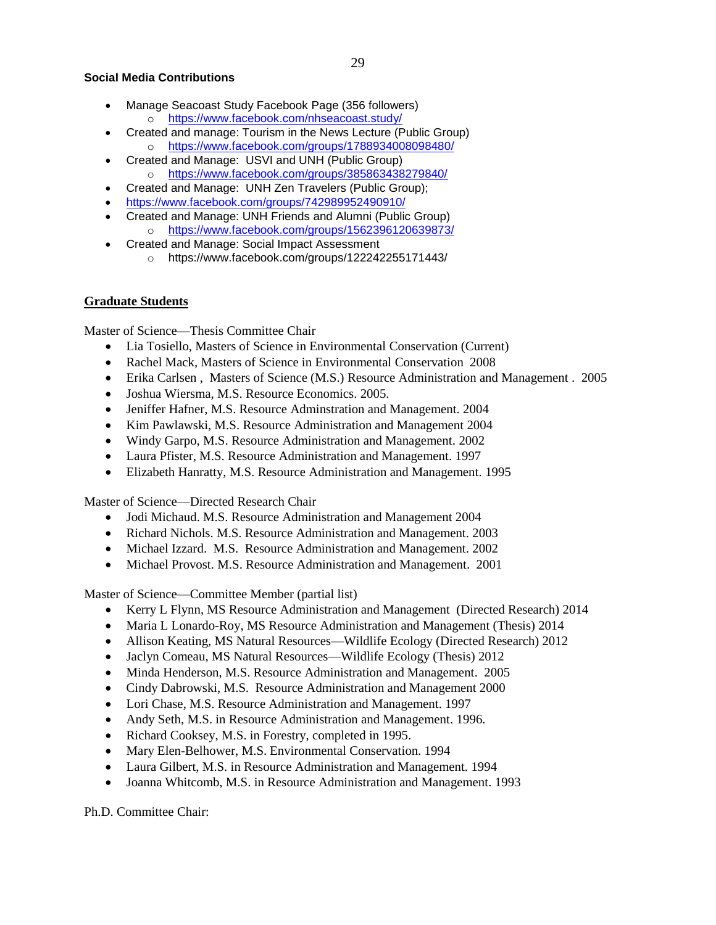### **Social Media Contributions**

- Manage Seacoast Study Facebook Page (356 followers) o <https://www.facebook.com/nhseacoast.study/>
- Created and manage: Tourism in the News Lecture (Public Group) o <https://www.facebook.com/groups/1788934008098480/>
- Created and Manage: USVI and UNH (Public Group) o <https://www.facebook.com/groups/385863438279840/>
- Created and Manage: UNH Zen Travelers (Public Group);
- <https://www.facebook.com/groups/742989952490910/>
- Created and Manage: UNH Friends and Alumni (Public Group)
	- o <https://www.facebook.com/groups/1562396120639873/>
- Created and Manage: Social Impact Assessment
	- o https://www.facebook.com/groups/122242255171443/

# **Graduate Students**

Master of Science—Thesis Committee Chair

- Lia Tosiello, Masters of Science in Environmental Conservation (Current)
- Rachel Mack, Masters of Science in Environmental Conservation 2008
- Erika Carlsen, Masters of Science (M.S.) Resource Administration and Management . 2005
- Joshua Wiersma, M.S. Resource Economics. 2005.
- Jeniffer Hafner, M.S. Resource Adminstration and Management. 2004
- Kim Pawlawski, M.S. Resource Administration and Management 2004
- Windy Garpo, M.S. Resource Administration and Management. 2002
- Laura Pfister, M.S. Resource Administration and Management. 1997
- Elizabeth Hanratty, M.S. Resource Administration and Management. 1995

Master of Science—Directed Research Chair

- Jodi Michaud. M.S. Resource Administration and Management 2004
- Richard Nichols. M.S. Resource Administration and Management. 2003
- Michael Izzard. M.S. Resource Administration and Management. 2002
- Michael Provost. M.S. Resource Administration and Management. 2001

Master of Science—Committee Member (partial list)

- Kerry L Flynn, MS Resource Administration and Management (Directed Research) 2014
- Maria L Lonardo-Roy, MS Resource Administration and Management (Thesis) 2014
- Allison Keating, MS Natural Resources—Wildlife Ecology (Directed Research) 2012
- Jaclyn Comeau, MS Natural Resources—Wildlife Ecology (Thesis) 2012
- Minda Henderson, M.S. Resource Administration and Management. 2005
- Cindy Dabrowski, M.S. Resource Administration and Management 2000
- Lori Chase, M.S. Resource Administration and Management. 1997
- Andy Seth, M.S. in Resource Administration and Management. 1996.
- Richard Cooksey, M.S. in Forestry, completed in 1995.
- Mary Elen-Belhower, M.S. Environmental Conservation. 1994
- Laura Gilbert, M.S. in Resource Administration and Management. 1994
- Joanna Whitcomb, M.S. in Resource Administration and Management. 1993

Ph.D. Committee Chair: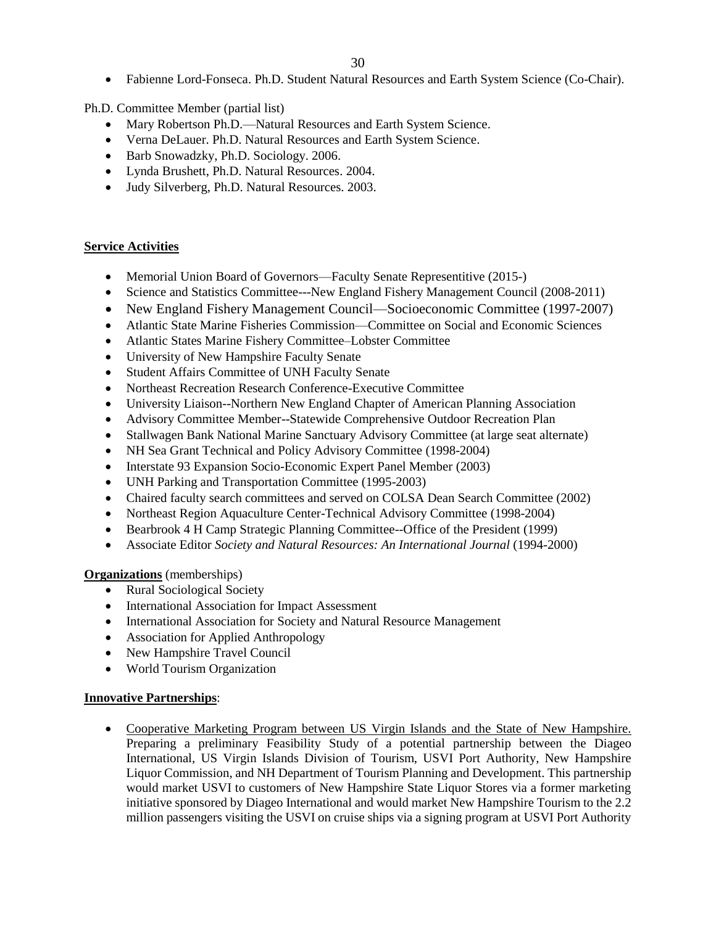Fabienne Lord-Fonseca. Ph.D. Student Natural Resources and Earth System Science (Co-Chair).

Ph.D. Committee Member (partial list)

- Mary Robertson Ph.D.—Natural Resources and Earth System Science.
- Verna DeLauer. Ph.D. Natural Resources and Earth System Science.
- Barb Snowadzky, Ph.D. Sociology. 2006.
- Lynda Brushett, Ph.D. Natural Resources. 2004.
- Judy Silverberg, Ph.D. Natural Resources. 2003.

## **Service Activities**

- Memorial Union Board of Governors—Faculty Senate Representitive (2015-)
- Science and Statistics Committee---New England Fishery Management Council (2008-2011)
- New England Fishery Management Council—Socioeconomic Committee (1997-2007)
- Atlantic State Marine Fisheries Commission—Committee on Social and Economic Sciences
- Atlantic States Marine Fishery Committee–Lobster Committee
- University of New Hampshire Faculty Senate
- Student Affairs Committee of UNH Faculty Senate
- Northeast Recreation Research Conference-Executive Committee
- University Liaison--Northern New England Chapter of American Planning Association
- Advisory Committee Member--Statewide Comprehensive Outdoor Recreation Plan
- Stallwagen Bank National Marine Sanctuary Advisory Committee (at large seat alternate)
- NH Sea Grant Technical and Policy Advisory Committee (1998-2004)
- Interstate 93 Expansion Socio-Economic Expert Panel Member (2003)
- UNH Parking and Transportation Committee (1995-2003)
- Chaired faculty search committees and served on COLSA Dean Search Committee (2002)
- Northeast Region Aquaculture Center-Technical Advisory Committee (1998-2004)
- Bearbrook 4 H Camp Strategic Planning Committee--Office of the President (1999)
- Associate Editor *Society and Natural Resources: An International Journal* (1994-2000)

**Organizations** (memberships)

- Rural Sociological Society
- International Association for Impact Assessment
- International Association for Society and Natural Resource Management
- Association for Applied Anthropology
- New Hampshire Travel Council
- World Tourism Organization

## **Innovative Partnerships**:

 Cooperative Marketing Program between US Virgin Islands and the State of New Hampshire. Preparing a preliminary Feasibility Study of a potential partnership between the Diageo International, US Virgin Islands Division of Tourism, USVI Port Authority, New Hampshire Liquor Commission, and NH Department of Tourism Planning and Development. This partnership would market USVI to customers of New Hampshire State Liquor Stores via a former marketing initiative sponsored by Diageo International and would market New Hampshire Tourism to the 2.2 million passengers visiting the USVI on cruise ships via a signing program at USVI Port Authority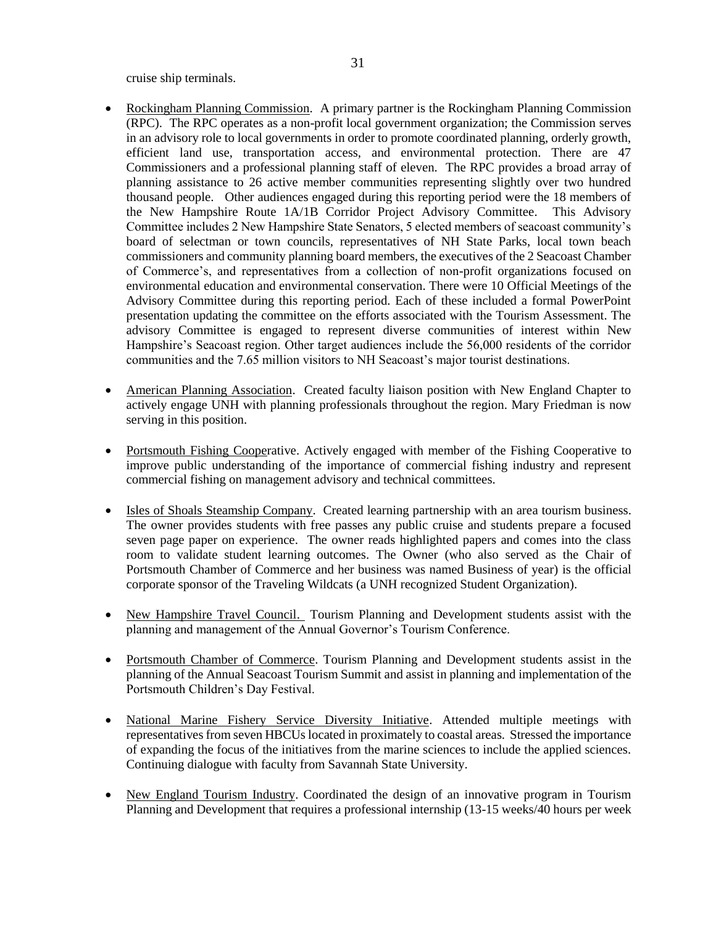cruise ship terminals.

- Rockingham Planning Commission. A primary partner is the Rockingham Planning Commission (RPC). The RPC operates as a non-profit local government organization; the Commission serves in an advisory role to local governments in order to promote coordinated planning, orderly growth, efficient land use, transportation access, and environmental protection. There are 47 Commissioners and a professional planning staff of eleven. The RPC provides a broad array of planning assistance to 26 active member communities representing slightly over two hundred thousand people. Other audiences engaged during this reporting period were the 18 members of the New Hampshire Route 1A/1B Corridor Project Advisory Committee. This Advisory Committee includes 2 New Hampshire State Senators, 5 elected members of seacoast community's board of selectman or town councils, representatives of NH State Parks, local town beach commissioners and community planning board members, the executives of the 2 Seacoast Chamber of Commerce's, and representatives from a collection of non-profit organizations focused on environmental education and environmental conservation. There were 10 Official Meetings of the Advisory Committee during this reporting period. Each of these included a formal PowerPoint presentation updating the committee on the efforts associated with the Tourism Assessment. The advisory Committee is engaged to represent diverse communities of interest within New Hampshire's Seacoast region. Other target audiences include the 56,000 residents of the corridor communities and the 7.65 million visitors to NH Seacoast's major tourist destinations.
- American Planning Association. Created faculty liaison position with New England Chapter to actively engage UNH with planning professionals throughout the region. Mary Friedman is now serving in this position.
- Portsmouth Fishing Cooperative. Actively engaged with member of the Fishing Cooperative to improve public understanding of the importance of commercial fishing industry and represent commercial fishing on management advisory and technical committees.
- Isles of Shoals Steamship Company. Created learning partnership with an area tourism business. The owner provides students with free passes any public cruise and students prepare a focused seven page paper on experience. The owner reads highlighted papers and comes into the class room to validate student learning outcomes. The Owner (who also served as the Chair of Portsmouth Chamber of Commerce and her business was named Business of year) is the official corporate sponsor of the Traveling Wildcats (a UNH recognized Student Organization).
- New Hampshire Travel Council. Tourism Planning and Development students assist with the planning and management of the Annual Governor's Tourism Conference.
- Portsmouth Chamber of Commerce. Tourism Planning and Development students assist in the planning of the Annual Seacoast Tourism Summit and assist in planning and implementation of the Portsmouth Children's Day Festival.
- National Marine Fishery Service Diversity Initiative. Attended multiple meetings with representatives from seven HBCUs located in proximately to coastal areas. Stressed the importance of expanding the focus of the initiatives from the marine sciences to include the applied sciences. Continuing dialogue with faculty from Savannah State University.
- New England Tourism Industry. Coordinated the design of an innovative program in Tourism Planning and Development that requires a professional internship (13-15 weeks/40 hours per week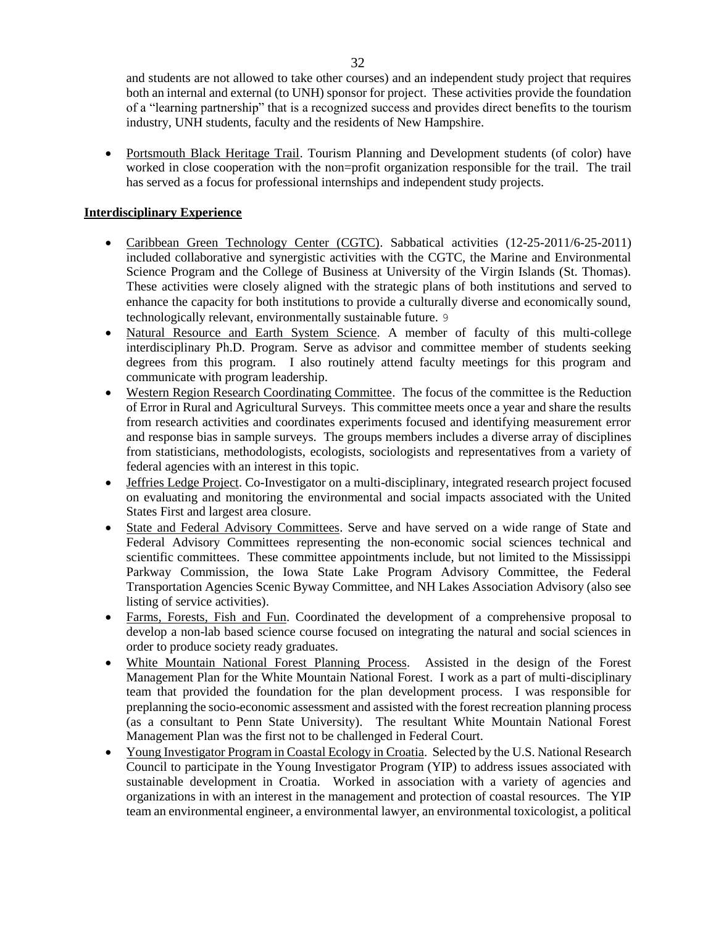and students are not allowed to take other courses) and an independent study project that requires both an internal and external (to UNH) sponsor for project. These activities provide the foundation of a "learning partnership" that is a recognized success and provides direct benefits to the tourism industry, UNH students, faculty and the residents of New Hampshire.

 Portsmouth Black Heritage Trail. Tourism Planning and Development students (of color) have worked in close cooperation with the non=profit organization responsible for the trail. The trail has served as a focus for professional internships and independent study projects.

# **Interdisciplinary Experience**

- Caribbean Green Technology Center (CGTC). Sabbatical activities (12-25-2011/6-25-2011) included collaborative and synergistic activities with the CGTC, the Marine and Environmental Science Program and the College of Business at University of the Virgin Islands (St. Thomas). These activities were closely aligned with the strategic plans of both institutions and served to enhance the capacity for both institutions to provide a culturally diverse and economically sound, technologically relevant, environmentally sustainable future. 9
- Natural Resource and Earth System Science. A member of faculty of this multi-college interdisciplinary Ph.D. Program. Serve as advisor and committee member of students seeking degrees from this program. I also routinely attend faculty meetings for this program and communicate with program leadership.
- Western Region Research Coordinating Committee. The focus of the committee is the Reduction of Error in Rural and Agricultural Surveys. This committee meets once a year and share the results from research activities and coordinates experiments focused and identifying measurement error and response bias in sample surveys. The groups members includes a diverse array of disciplines from statisticians, methodologists, ecologists, sociologists and representatives from a variety of federal agencies with an interest in this topic.
- Jeffries Ledge Project. Co-Investigator on a multi-disciplinary, integrated research project focused on evaluating and monitoring the environmental and social impacts associated with the United States First and largest area closure.
- State and Federal Advisory Committees. Serve and have served on a wide range of State and Federal Advisory Committees representing the non-economic social sciences technical and scientific committees. These committee appointments include, but not limited to the Mississippi Parkway Commission, the Iowa State Lake Program Advisory Committee, the Federal Transportation Agencies Scenic Byway Committee, and NH Lakes Association Advisory (also see listing of service activities).
- Farms, Forests, Fish and Fun. Coordinated the development of a comprehensive proposal to develop a non-lab based science course focused on integrating the natural and social sciences in order to produce society ready graduates.
- White Mountain National Forest Planning Process. Assisted in the design of the Forest Management Plan for the White Mountain National Forest. I work as a part of multi-disciplinary team that provided the foundation for the plan development process. I was responsible for preplanning the socio-economic assessment and assisted with the forest recreation planning process (as a consultant to Penn State University). The resultant White Mountain National Forest Management Plan was the first not to be challenged in Federal Court.
- Young Investigator Program in Coastal Ecology in Croatia. Selected by the U.S. National Research Council to participate in the Young Investigator Program (YIP) to address issues associated with sustainable development in Croatia. Worked in association with a variety of agencies and organizations in with an interest in the management and protection of coastal resources. The YIP team an environmental engineer, a environmental lawyer, an environmental toxicologist, a political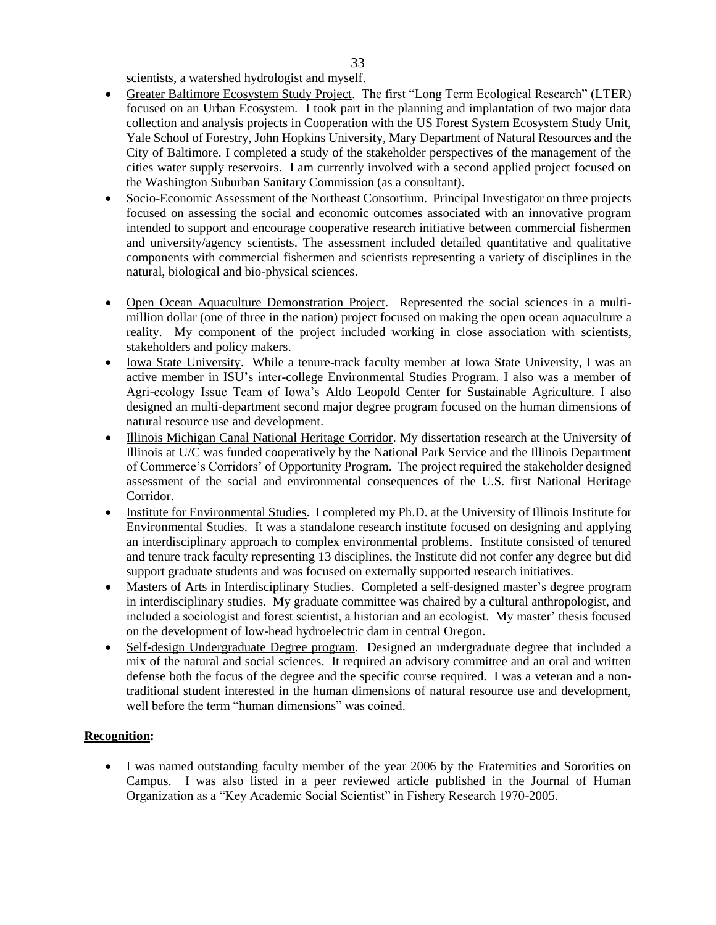scientists, a watershed hydrologist and myself.

- Greater Baltimore Ecosystem Study Project. The first "Long Term Ecological Research" (LTER) focused on an Urban Ecosystem. I took part in the planning and implantation of two major data collection and analysis projects in Cooperation with the US Forest System Ecosystem Study Unit, Yale School of Forestry, John Hopkins University, Mary Department of Natural Resources and the City of Baltimore. I completed a study of the stakeholder perspectives of the management of the cities water supply reservoirs. I am currently involved with a second applied project focused on the Washington Suburban Sanitary Commission (as a consultant).
- Socio-Economic Assessment of the Northeast Consortium. Principal Investigator on three projects focused on assessing the social and economic outcomes associated with an innovative program intended to support and encourage cooperative research initiative between commercial fishermen and university/agency scientists. The assessment included detailed quantitative and qualitative components with commercial fishermen and scientists representing a variety of disciplines in the natural, biological and bio-physical sciences.
- Open Ocean Aquaculture Demonstration Project. Represented the social sciences in a multimillion dollar (one of three in the nation) project focused on making the open ocean aquaculture a reality. My component of the project included working in close association with scientists, stakeholders and policy makers.
- Iowa State University. While a tenure-track faculty member at Iowa State University, I was an active member in ISU's inter-college Environmental Studies Program. I also was a member of Agri-ecology Issue Team of Iowa's Aldo Leopold Center for Sustainable Agriculture. I also designed an multi-department second major degree program focused on the human dimensions of natural resource use and development.
- Illinois Michigan Canal National Heritage Corridor. My dissertation research at the University of Illinois at U/C was funded cooperatively by the National Park Service and the Illinois Department of Commerce's Corridors' of Opportunity Program. The project required the stakeholder designed assessment of the social and environmental consequences of the U.S. first National Heritage Corridor.
- Institute for Environmental Studies. I completed my Ph.D. at the University of Illinois Institute for Environmental Studies. It was a standalone research institute focused on designing and applying an interdisciplinary approach to complex environmental problems. Institute consisted of tenured and tenure track faculty representing 13 disciplines, the Institute did not confer any degree but did support graduate students and was focused on externally supported research initiatives.
- Masters of Arts in Interdisciplinary Studies. Completed a self-designed master's degree program in interdisciplinary studies. My graduate committee was chaired by a cultural anthropologist, and included a sociologist and forest scientist, a historian and an ecologist. My master' thesis focused on the development of low-head hydroelectric dam in central Oregon.
- Self-design Undergraduate Degree program. Designed an undergraduate degree that included a mix of the natural and social sciences. It required an advisory committee and an oral and written defense both the focus of the degree and the specific course required. I was a veteran and a nontraditional student interested in the human dimensions of natural resource use and development, well before the term "human dimensions" was coined.

# **Recognition:**

 I was named outstanding faculty member of the year 2006 by the Fraternities and Sororities on Campus. I was also listed in a peer reviewed article published in the Journal of Human Organization as a "Key Academic Social Scientist" in Fishery Research 1970-2005.